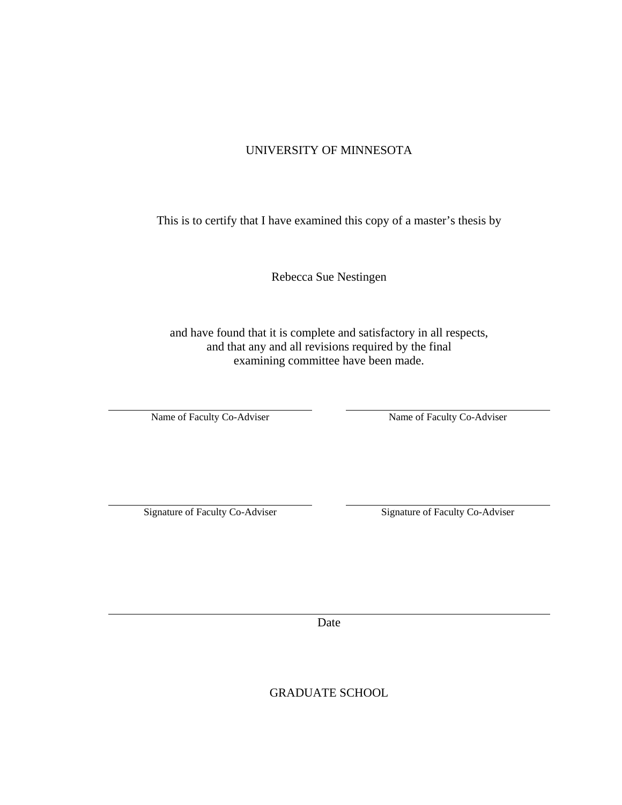### UNIVERSITY OF MINNESOTA

This is to certify that I have examined this copy of a master's thesis by

Rebecca Sue Nestingen

and have found that it is complete and satisfactory in all respects, and that any and all revisions required by the final examining committee have been made.

Name of Faculty Co-Adviser

Name of Faculty Co-Adviser

Signature of Faculty Co-Adviser

Signature of Faculty Co-Adviser

Date

GRADUATE SCHOOL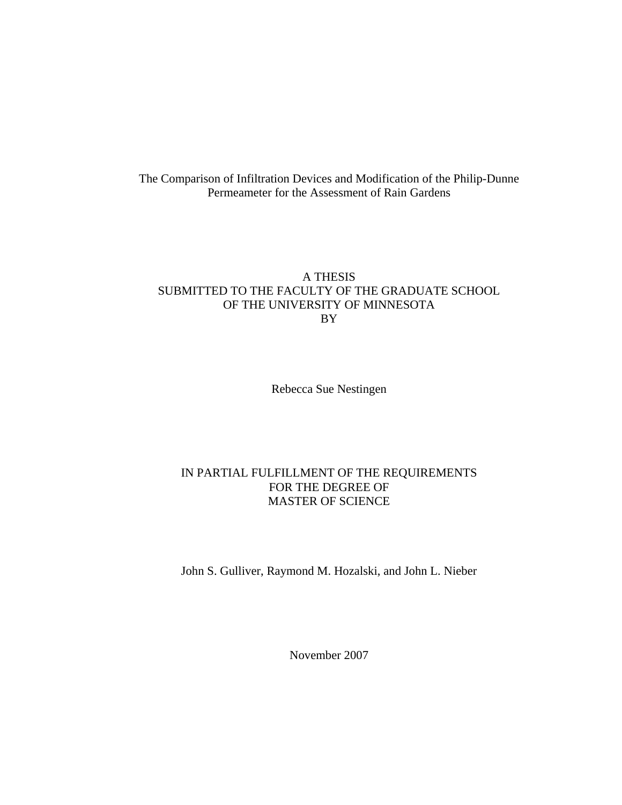The Comparison of Infiltration Devices and Modification of the Philip-Dunne Permeameter for the Assessment of Rain Gardens

#### A THESIS SUBMITTED TO THE FACULTY OF THE GRADUATE SCHOOL OF THE UNIVERSITY OF MINNESOTA BY

Rebecca Sue Nestingen

#### IN PARTIAL FULFILLMENT OF THE REQUIREMENTS FOR THE DEGREE OF MASTER OF SCIENCE

John S. Gulliver, Raymond M. Hozalski, and John L. Nieber

November 2007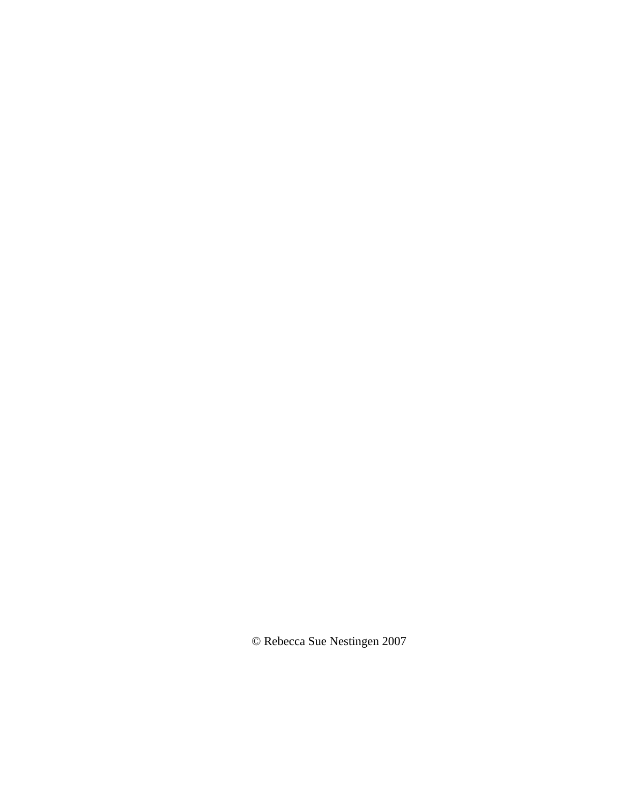© Rebecca Sue Nestingen 2007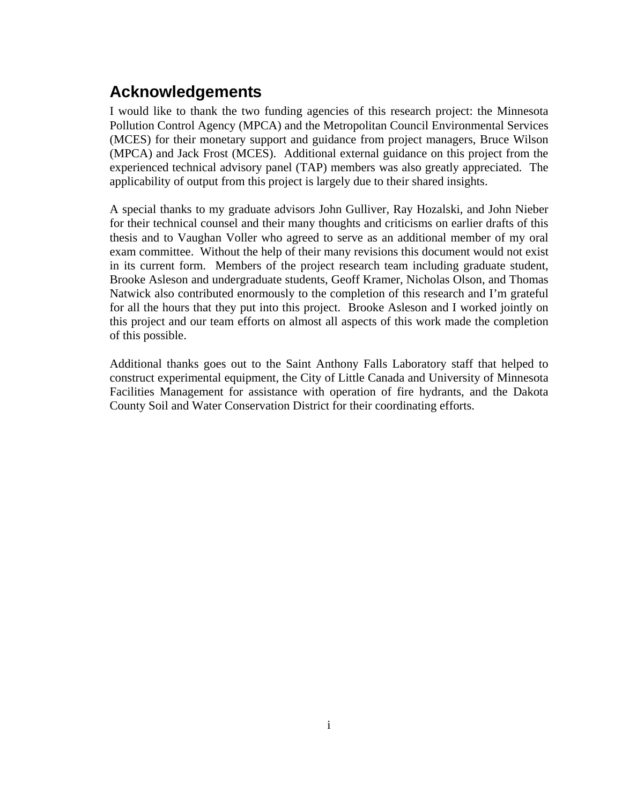## **Acknowledgements**

I would like to thank the two funding agencies of this research project: the Minnesota Pollution Control Agency (MPCA) and the Metropolitan Council Environmental Services (MCES) for their monetary support and guidance from project managers, Bruce Wilson (MPCA) and Jack Frost (MCES). Additional external guidance on this project from the experienced technical advisory panel (TAP) members was also greatly appreciated. The applicability of output from this project is largely due to their shared insights.

A special thanks to my graduate advisors John Gulliver, Ray Hozalski, and John Nieber for their technical counsel and their many thoughts and criticisms on earlier drafts of this thesis and to Vaughan Voller who agreed to serve as an additional member of my oral exam committee. Without the help of their many revisions this document would not exist in its current form. Members of the project research team including graduate student, Brooke Asleson and undergraduate students, Geoff Kramer, Nicholas Olson, and Thomas Natwick also contributed enormously to the completion of this research and I'm grateful for all the hours that they put into this project. Brooke Asleson and I worked jointly on this project and our team efforts on almost all aspects of this work made the completion of this possible.

Additional thanks goes out to the Saint Anthony Falls Laboratory staff that helped to construct experimental equipment, the City of Little Canada and University of Minnesota Facilities Management for assistance with operation of fire hydrants, and the Dakota County Soil and Water Conservation District for their coordinating efforts.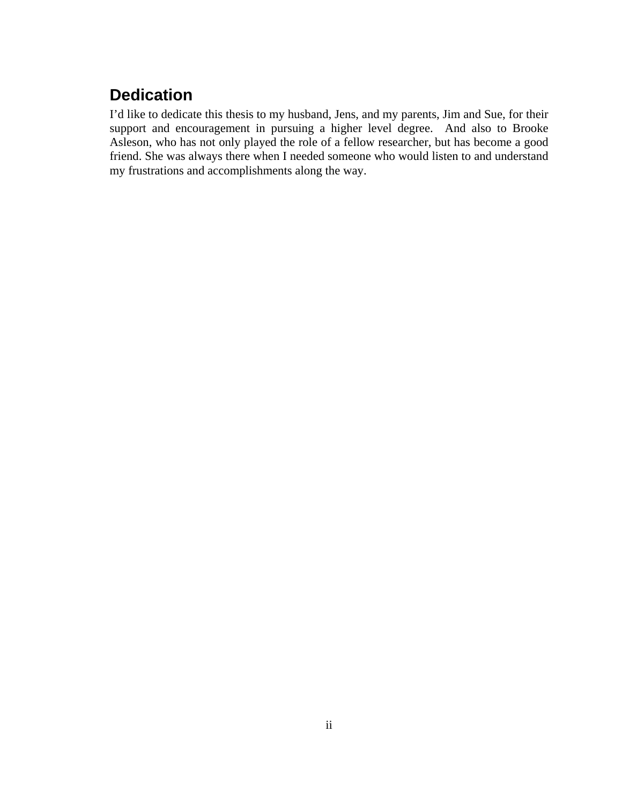## **Dedication**

I'd like to dedicate this thesis to my husband, Jens, and my parents, Jim and Sue, for their support and encouragement in pursuing a higher level degree. And also to Brooke Asleson, who has not only played the role of a fellow researcher, but has become a good friend. She was always there when I needed someone who would listen to and understand my frustrations and accomplishments along the way.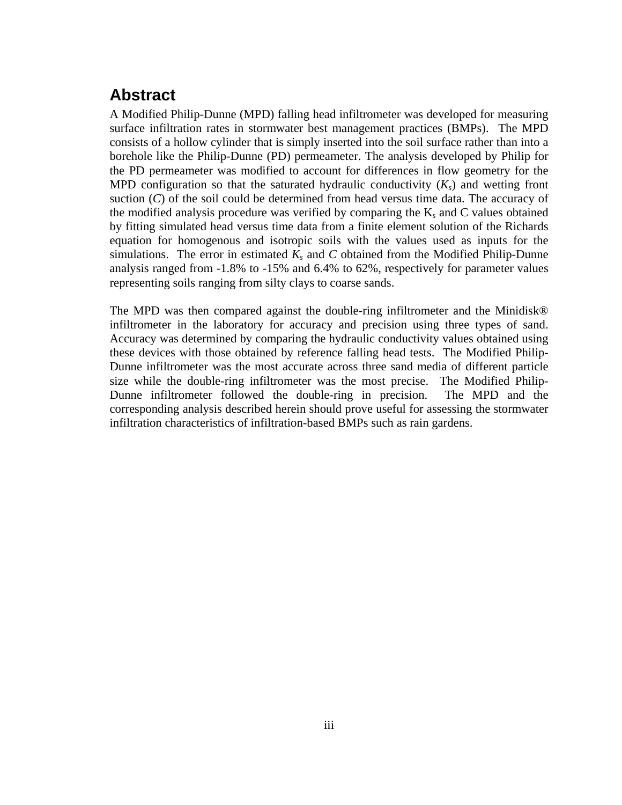## **Abstract**

A Modified Philip-Dunne (MPD) falling head infiltrometer was developed for measuring surface infiltration rates in stormwater best management practices (BMPs). The MPD consists of a hollow cylinder that is simply inserted into the soil surface rather than into a borehole like the Philip-Dunne (PD) permeameter. The analysis developed by Philip for the PD permeameter was modified to account for differences in flow geometry for the MPD configuration so that the saturated hydraulic conductivity  $(K<sub>s</sub>)$  and wetting front suction (*C*) of the soil could be determined from head versus time data. The accuracy of the modified analysis procedure was verified by comparing the  $K_s$  and C values obtained by fitting simulated head versus time data from a finite element solution of the Richards equation for homogenous and isotropic soils with the values used as inputs for the simulations. The error in estimated  $K_s$  and C obtained from the Modified Philip-Dunne analysis ranged from -1.8% to -15% and 6.4% to 62%, respectively for parameter values representing soils ranging from silty clays to coarse sands.

The MPD was then compared against the double-ring infiltrometer and the Minidisk® infiltrometer in the laboratory for accuracy and precision using three types of sand. Accuracy was determined by comparing the hydraulic conductivity values obtained using these devices with those obtained by reference falling head tests. The Modified Philip-Dunne infiltrometer was the most accurate across three sand media of different particle size while the double-ring infiltrometer was the most precise. The Modified Philip-Dunne infiltrometer followed the double-ring in precision. The MPD and the corresponding analysis described herein should prove useful for assessing the stormwater infiltration characteristics of infiltration-based BMPs such as rain gardens.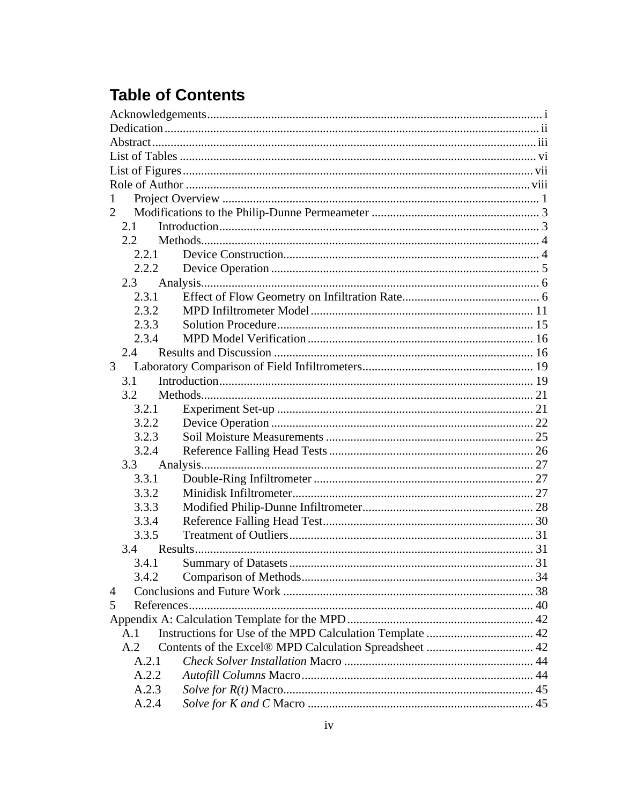# **Table of Contents**

| 2     |  |
|-------|--|
| 2.1   |  |
| 2.2   |  |
| 2.2.1 |  |
| 2.2.2 |  |
| 2.3   |  |
| 2.3.1 |  |
| 2.3.2 |  |
| 2.3.3 |  |
| 2.3.4 |  |
| 2.4   |  |
| 3     |  |
| 3.1   |  |
| 3.2   |  |
| 3.2.1 |  |
| 3.2.2 |  |
| 3.2.3 |  |
| 3.2.4 |  |
| 3.3   |  |
| 3.3.1 |  |
| 3.3.2 |  |
| 3.3.3 |  |
| 3.3.4 |  |
| 3.3.5 |  |
| 3.4   |  |
|       |  |
| 3.4.2 |  |
| 4     |  |
| 5     |  |
|       |  |
| A.1   |  |
| A.2   |  |
| A.2.1 |  |
| A.2.2 |  |
| A.2.3 |  |
| A.2.4 |  |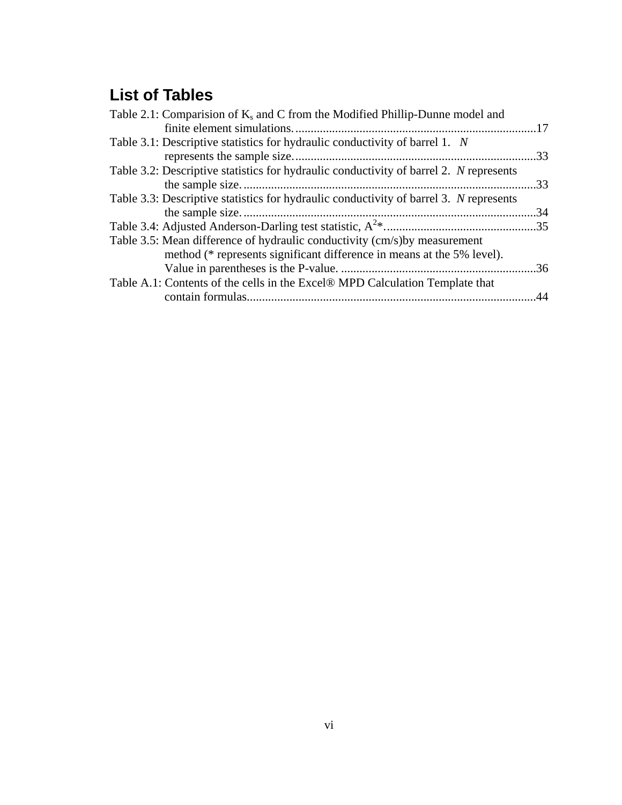# **List of Tables**

| Table 2.1: Comparision of $K_s$ and C from the Modified Phillip-Dunne model and        |     |
|----------------------------------------------------------------------------------------|-----|
|                                                                                        |     |
| Table 3.1: Descriptive statistics for hydraulic conductivity of barrel 1. N            |     |
|                                                                                        | 33  |
| Table 3.2: Descriptive statistics for hydraulic conductivity of barrel 2. N represents |     |
|                                                                                        | 33  |
| Table 3.3: Descriptive statistics for hydraulic conductivity of barrel 3. N represents |     |
|                                                                                        | .34 |
|                                                                                        |     |
| Table 3.5: Mean difference of hydraulic conductivity (cm/s) by measurement             |     |
| method (* represents significant difference in means at the 5% level).                 |     |
|                                                                                        |     |
| Table A.1: Contents of the cells in the Excel® MPD Calculation Template that           |     |
|                                                                                        | .44 |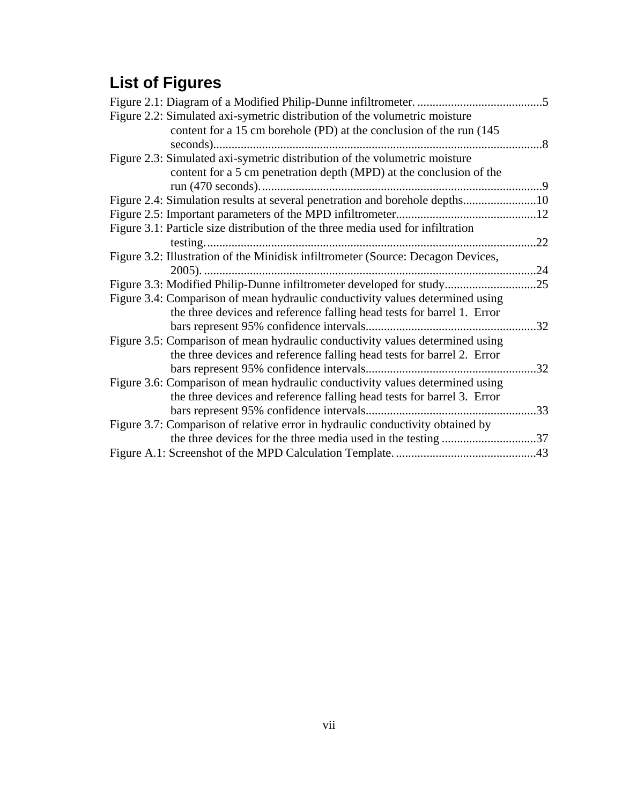# **List of Figures**

| Figure 2.2: Simulated axi-symetric distribution of the volumetric moisture       |     |
|----------------------------------------------------------------------------------|-----|
| content for a 15 cm borehole (PD) at the conclusion of the run (145              |     |
|                                                                                  |     |
| Figure 2.3: Simulated axi-symetric distribution of the volumetric moisture       |     |
| content for a 5 cm penetration depth (MPD) at the conclusion of the              |     |
|                                                                                  |     |
| Figure 2.4: Simulation results at several penetration and borehole depths10      |     |
|                                                                                  |     |
| Figure 3.1: Particle size distribution of the three media used for infiltration  |     |
|                                                                                  | .22 |
| Figure 3.2: Illustration of the Minidisk infiltrometer (Source: Decagon Devices, |     |
|                                                                                  |     |
|                                                                                  |     |
| Figure 3.4: Comparison of mean hydraulic conductivity values determined using    |     |
| the three devices and reference falling head tests for barrel 1. Error           |     |
|                                                                                  | .32 |
| Figure 3.5: Comparison of mean hydraulic conductivity values determined using    |     |
| the three devices and reference falling head tests for barrel 2. Error           |     |
|                                                                                  | .32 |
| Figure 3.6: Comparison of mean hydraulic conductivity values determined using    |     |
| the three devices and reference falling head tests for barrel 3. Error           |     |
|                                                                                  |     |
| Figure 3.7: Comparison of relative error in hydraulic conductivity obtained by   |     |
|                                                                                  |     |
|                                                                                  |     |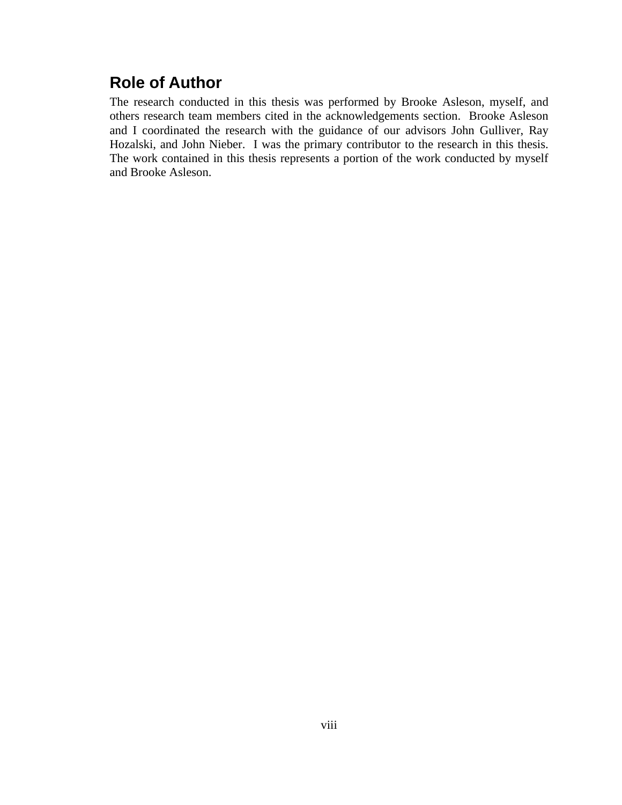## **Role of Author**

The research conducted in this thesis was performed by Brooke Asleson, myself, and others research team members cited in the acknowledgements section. Brooke Asleson and I coordinated the research with the guidance of our advisors John Gulliver, Ray Hozalski, and John Nieber. I was the primary contributor to the research in this thesis. The work contained in this thesis represents a portion of the work conducted by myself and Brooke Asleson.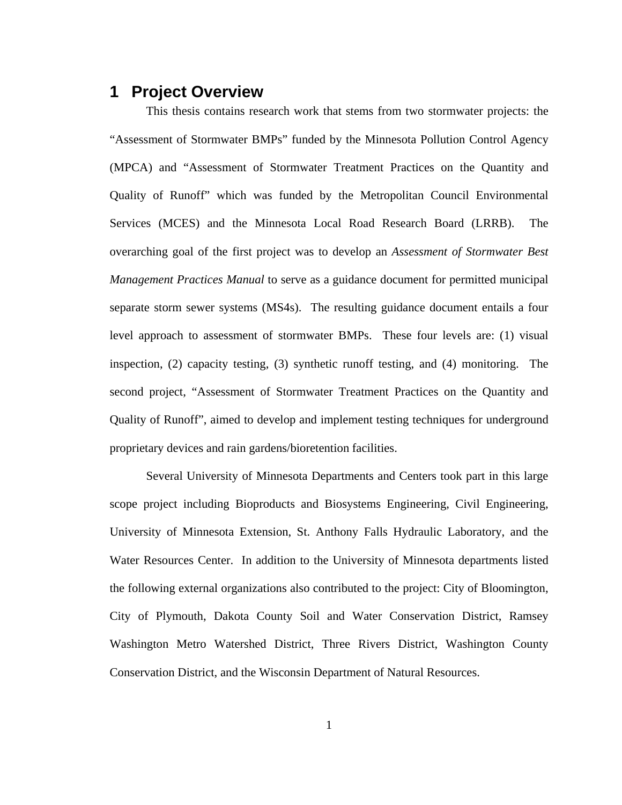## **1 Project Overview**

This thesis contains research work that stems from two stormwater projects: the "Assessment of Stormwater BMPs" funded by the Minnesota Pollution Control Agency (MPCA) and "Assessment of Stormwater Treatment Practices on the Quantity and Quality of Runoff" which was funded by the Metropolitan Council Environmental Services (MCES) and the Minnesota Local Road Research Board (LRRB). The overarching goal of the first project was to develop an *Assessment of Stormwater Best Management Practices Manual* to serve as a guidance document for permitted municipal separate storm sewer systems (MS4s). The resulting guidance document entails a four level approach to assessment of stormwater BMPs. These four levels are: (1) visual inspection, (2) capacity testing, (3) synthetic runoff testing, and (4) monitoring. The second project, "Assessment of Stormwater Treatment Practices on the Quantity and Quality of Runoff", aimed to develop and implement testing techniques for underground proprietary devices and rain gardens/bioretention facilities.

Several University of Minnesota Departments and Centers took part in this large scope project including Bioproducts and Biosystems Engineering, Civil Engineering, University of Minnesota Extension, St. Anthony Falls Hydraulic Laboratory, and the Water Resources Center. In addition to the University of Minnesota departments listed the following external organizations also contributed to the project: City of Bloomington, City of Plymouth, Dakota County Soil and Water Conservation District, Ramsey Washington Metro Watershed District, Three Rivers District, Washington County Conservation District, and the Wisconsin Department of Natural Resources.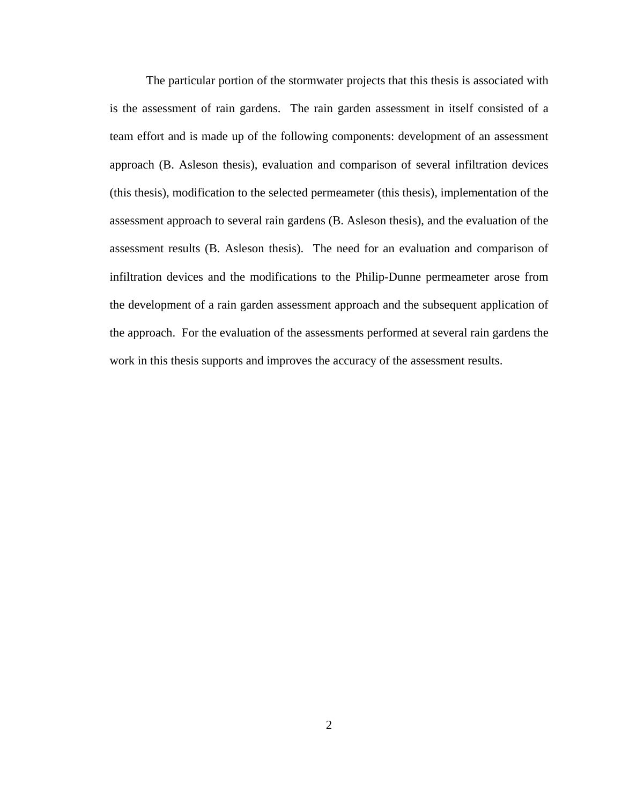The particular portion of the stormwater projects that this thesis is associated with is the assessment of rain gardens. The rain garden assessment in itself consisted of a team effort and is made up of the following components: development of an assessment approach (B. Asleson thesis), evaluation and comparison of several infiltration devices (this thesis), modification to the selected permeameter (this thesis), implementation of the assessment approach to several rain gardens (B. Asleson thesis), and the evaluation of the assessment results (B. Asleson thesis). The need for an evaluation and comparison of infiltration devices and the modifications to the Philip-Dunne permeameter arose from the development of a rain garden assessment approach and the subsequent application of the approach. For the evaluation of the assessments performed at several rain gardens the work in this thesis supports and improves the accuracy of the assessment results.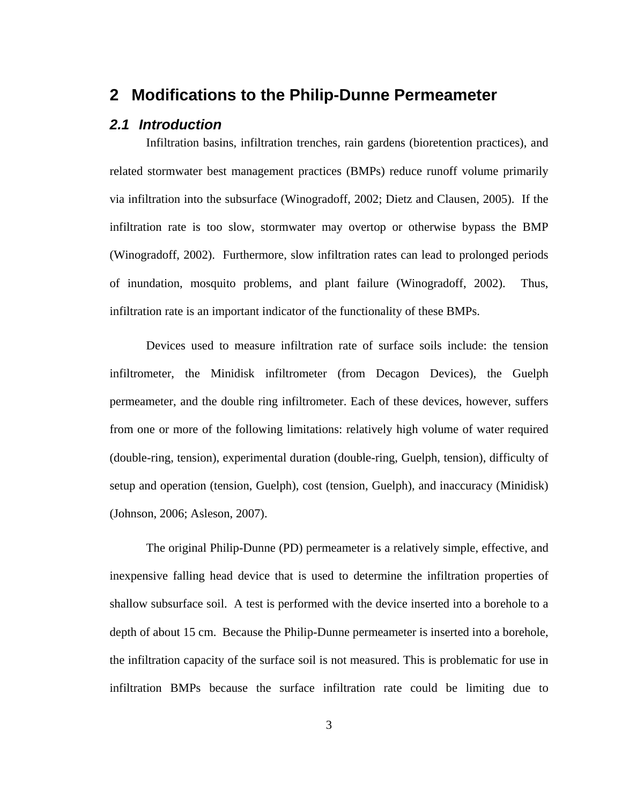## **2 Modifications to the Philip-Dunne Permeameter**

#### *2.1 Introduction*

Infiltration basins, infiltration trenches, rain gardens (bioretention practices), and related stormwater best management practices (BMPs) reduce runoff volume primarily via infiltration into the subsurface (Winogradoff, 2002; Dietz and Clausen, 2005). If the infiltration rate is too slow, stormwater may overtop or otherwise bypass the BMP (Winogradoff, 2002). Furthermore, slow infiltration rates can lead to prolonged periods of inundation, mosquito problems, and plant failure (Winogradoff, 2002). Thus, infiltration rate is an important indicator of the functionality of these BMPs.

Devices used to measure infiltration rate of surface soils include: the tension infiltrometer, the Minidisk infiltrometer (from Decagon Devices), the Guelph permeameter, and the double ring infiltrometer. Each of these devices, however, suffers from one or more of the following limitations: relatively high volume of water required (double-ring, tension), experimental duration (double-ring, Guelph, tension), difficulty of setup and operation (tension, Guelph), cost (tension, Guelph), and inaccuracy (Minidisk) (Johnson, 2006; Asleson, 2007).

The original Philip-Dunne (PD) permeameter is a relatively simple, effective, and inexpensive falling head device that is used to determine the infiltration properties of shallow subsurface soil. A test is performed with the device inserted into a borehole to a depth of about 15 cm. Because the Philip-Dunne permeameter is inserted into a borehole, the infiltration capacity of the surface soil is not measured. This is problematic for use in infiltration BMPs because the surface infiltration rate could be limiting due to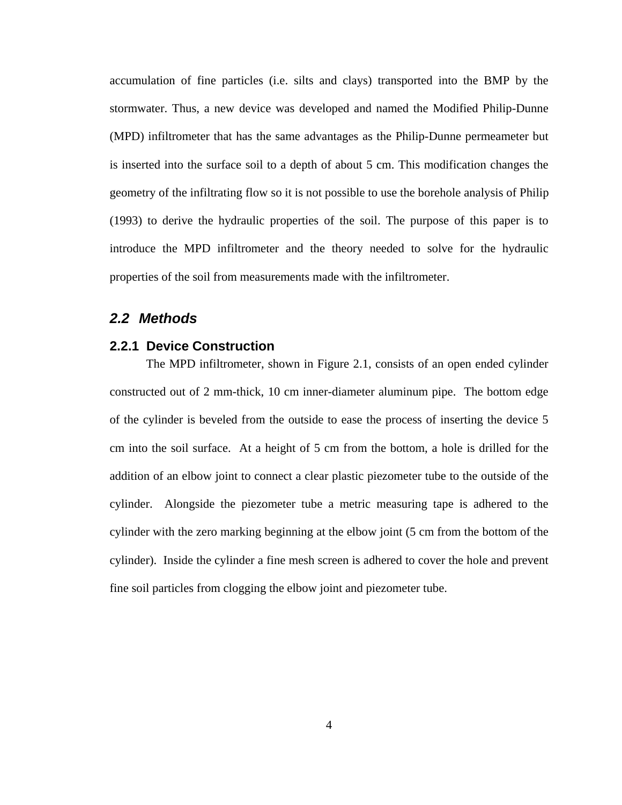accumulation of fine particles (i.e. silts and clays) transported into the BMP by the stormwater. Thus, a new device was developed and named the Modified Philip-Dunne (MPD) infiltrometer that has the same advantages as the Philip-Dunne permeameter but is inserted into the surface soil to a depth of about 5 cm. This modification changes the geometry of the infiltrating flow so it is not possible to use the borehole analysis of Philip (1993) to derive the hydraulic properties of the soil. The purpose of this paper is to introduce the MPD infiltrometer and the theory needed to solve for the hydraulic properties of the soil from measurements made with the infiltrometer.

#### *2.2 Methods*

#### **2.2.1 Device Construction**

The MPD infiltrometer, shown in Figure 2.1, consists of an open ended cylinder constructed out of 2 mm-thick, 10 cm inner-diameter aluminum pipe. The bottom edge of the cylinder is beveled from the outside to ease the process of inserting the device 5 cm into the soil surface. At a height of 5 cm from the bottom, a hole is drilled for the addition of an elbow joint to connect a clear plastic piezometer tube to the outside of the cylinder. Alongside the piezometer tube a metric measuring tape is adhered to the cylinder with the zero marking beginning at the elbow joint (5 cm from the bottom of the cylinder). Inside the cylinder a fine mesh screen is adhered to cover the hole and prevent fine soil particles from clogging the elbow joint and piezometer tube.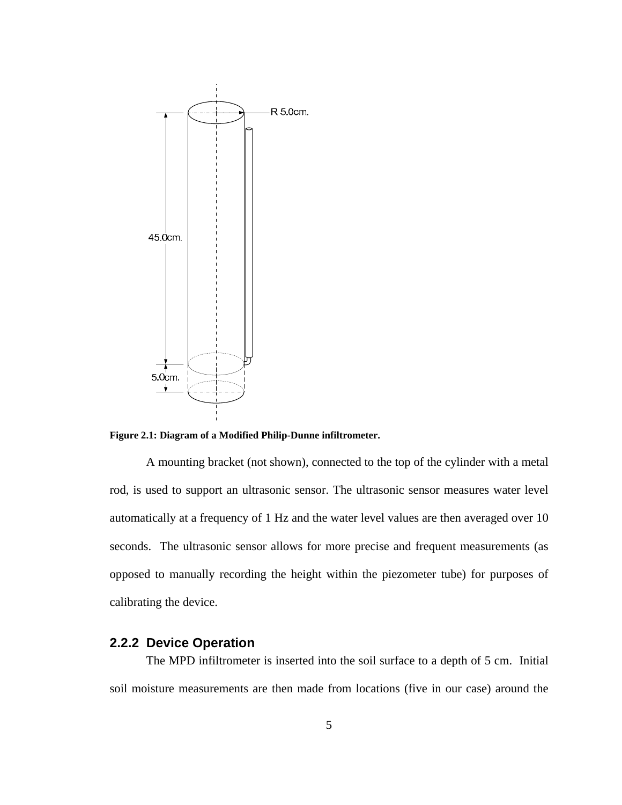

**Figure 2.1: Diagram of a Modified Philip-Dunne infiltrometer.** 

A mounting bracket (not shown), connected to the top of the cylinder with a metal rod, is used to support an ultrasonic sensor. The ultrasonic sensor measures water level automatically at a frequency of 1 Hz and the water level values are then averaged over 10 seconds. The ultrasonic sensor allows for more precise and frequent measurements (as opposed to manually recording the height within the piezometer tube) for purposes of calibrating the device.

#### **2.2.2 Device Operation**

The MPD infiltrometer is inserted into the soil surface to a depth of 5 cm. Initial soil moisture measurements are then made from locations (five in our case) around the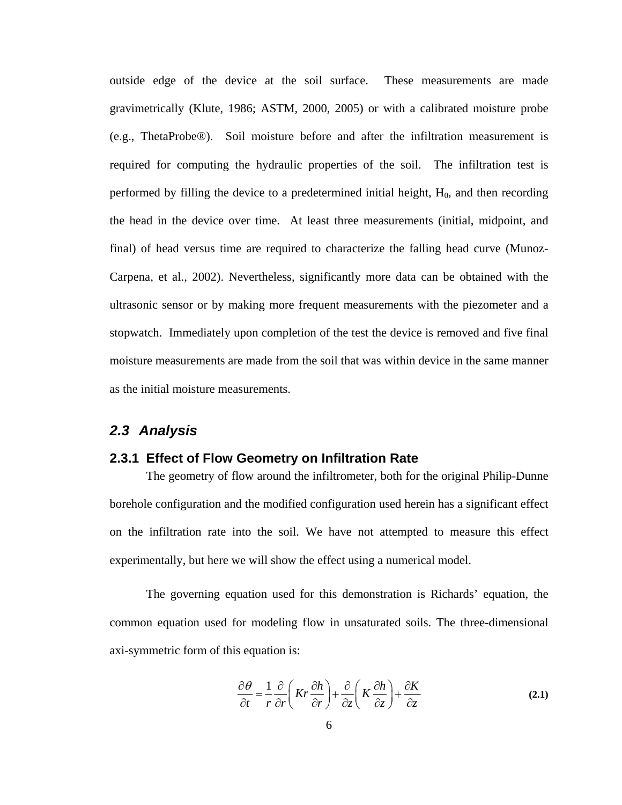outside edge of the device at the soil surface. These measurements are made gravimetrically (Klute, 1986; ASTM, 2000, 2005) or with a calibrated moisture probe (e.g., ThetaProbe®). Soil moisture before and after the infiltration measurement is required for computing the hydraulic properties of the soil. The infiltration test is performed by filling the device to a predetermined initial height,  $H_0$ , and then recording the head in the device over time. At least three measurements (initial, midpoint, and final) of head versus time are required to characterize the falling head curve (Munoz-Carpena, et al., 2002). Nevertheless, significantly more data can be obtained with the ultrasonic sensor or by making more frequent measurements with the piezometer and a stopwatch. Immediately upon completion of the test the device is removed and five final moisture measurements are made from the soil that was within device in the same manner as the initial moisture measurements.

#### *2.3 Analysis*

#### **2.3.1 Effect of Flow Geometry on Infiltration Rate**

The geometry of flow around the infiltrometer, both for the original Philip-Dunne borehole configuration and the modified configuration used herein has a significant effect on the infiltration rate into the soil. We have not attempted to measure this effect experimentally, but here we will show the effect using a numerical model.

The governing equation used for this demonstration is Richards' equation, the common equation used for modeling flow in unsaturated soils. The three-dimensional axi-symmetric form of this equation is:

$$
\frac{\partial \theta}{\partial t} = \frac{1}{r} \frac{\partial}{\partial r} \left( Kr \frac{\partial h}{\partial r} \right) + \frac{\partial}{\partial z} \left( K \frac{\partial h}{\partial z} \right) + \frac{\partial K}{\partial z}
$$
(2.1)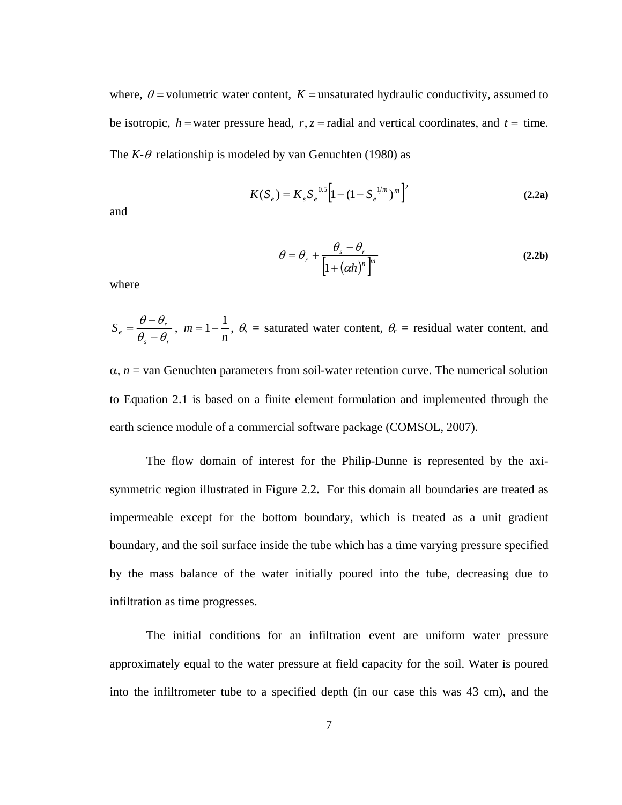where,  $\theta$  = volumetric water content,  $K$  = unsaturated hydraulic conductivity, assumed to be isotropic,  $h$  = water pressure head,  $r, z$  = radial and vertical coordinates, and  $t =$  time. The  $K-\theta$  relationship is modeled by van Genuchten (1980) as

$$
K(S_e) = K_s S_e^{0.5} \left[ 1 - (1 - S_e^{1/m})^m \right]^2
$$
 (2.2a)

and

$$
\theta = \theta_r + \frac{\theta_s - \theta_r}{\left[1 + (\alpha h)^n\right]^m}
$$
\n(2.2b)

where

$$
S_e = \frac{\theta - \theta_r}{\theta_s - \theta_r}, \ m = 1 - \frac{1}{n}, \ \theta_s = \text{saturated water content}, \ \theta_r = \text{residual water content}, \text{ and}
$$

 $\alpha$ ,  $n =$  van Genuchten parameters from soil-water retention curve. The numerical solution to Equation 2.1 is based on a finite element formulation and implemented through the earth science module of a commercial software package (COMSOL, 2007).

The flow domain of interest for the Philip-Dunne is represented by the axisymmetric region illustrated in Figure 2.2**.** For this domain all boundaries are treated as impermeable except for the bottom boundary, which is treated as a unit gradient boundary, and the soil surface inside the tube which has a time varying pressure specified by the mass balance of the water initially poured into the tube, decreasing due to infiltration as time progresses.

The initial conditions for an infiltration event are uniform water pressure approximately equal to the water pressure at field capacity for the soil. Water is poured into the infiltrometer tube to a specified depth (in our case this was 43 cm), and the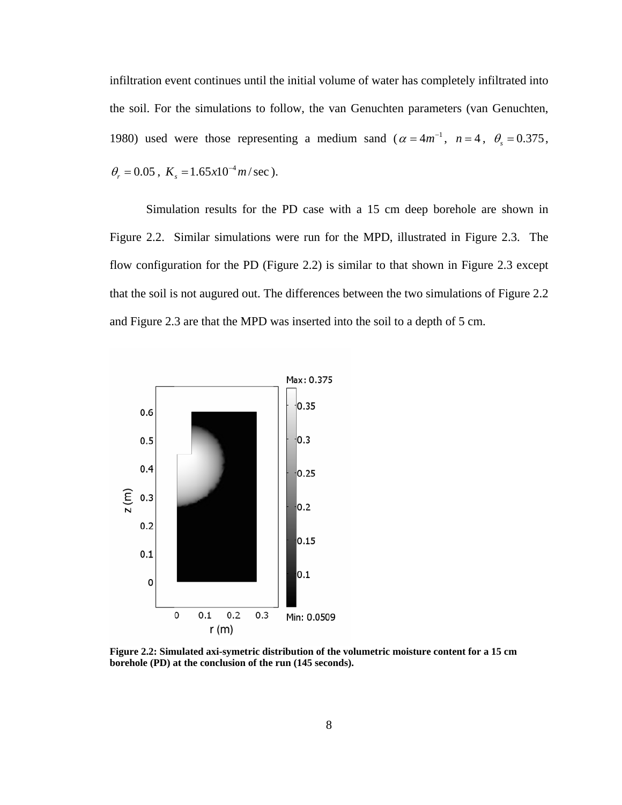infiltration event continues until the initial volume of water has completely infiltrated into the soil. For the simulations to follow, the van Genuchten parameters (van Genuchten, 1980) used were those representing a medium sand ( $\alpha = 4m^{-1}$ ,  $n = 4$ ,  $\theta_s = 0.375$ ,  $\theta_r = 0.05$ ,  $K_s = 1.65 \times 10^{-4} m/sec$ ).

Simulation results for the PD case with a 15 cm deep borehole are shown in Figure 2.2. Similar simulations were run for the MPD, illustrated in Figure 2.3. The flow configuration for the PD (Figure 2.2) is similar to that shown in Figure 2.3 except that the soil is not augured out. The differences between the two simulations of Figure 2.2 and Figure 2.3 are that the MPD was inserted into the soil to a depth of 5 cm.



**Figure 2.2: Simulated axi-symetric distribution of the volumetric moisture content for a 15 cm borehole (PD) at the conclusion of the run (145 seconds).**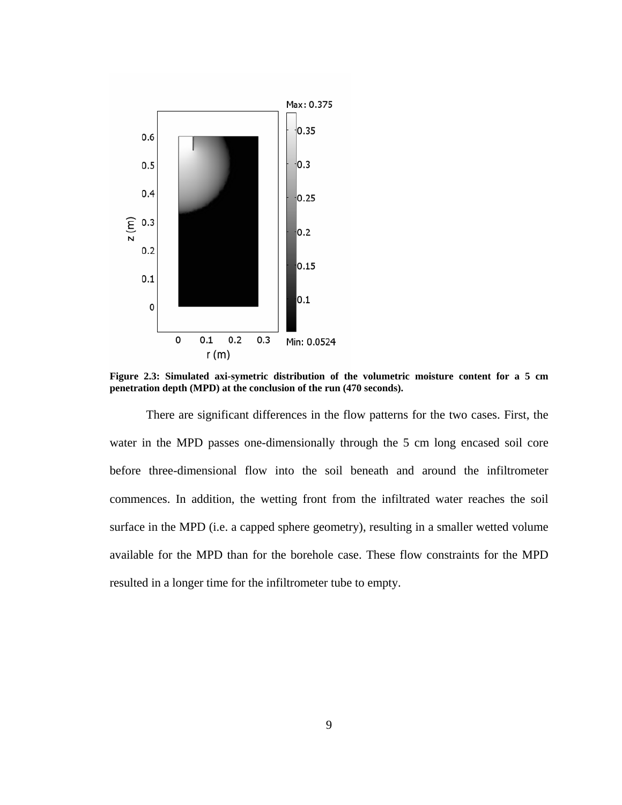

**Figure 2.3: Simulated axi-symetric distribution of the volumetric moisture content for a 5 cm penetration depth (MPD) at the conclusion of the run (470 seconds).** 

There are significant differences in the flow patterns for the two cases. First, the water in the MPD passes one-dimensionally through the 5 cm long encased soil core before three-dimensional flow into the soil beneath and around the infiltrometer commences. In addition, the wetting front from the infiltrated water reaches the soil surface in the MPD (i.e. a capped sphere geometry), resulting in a smaller wetted volume available for the MPD than for the borehole case. These flow constraints for the MPD resulted in a longer time for the infiltrometer tube to empty.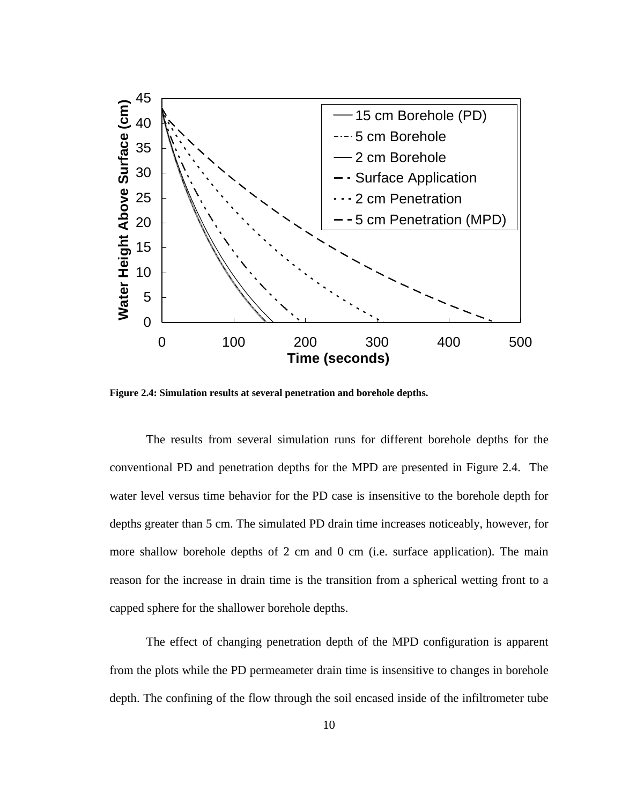

**Figure 2.4: Simulation results at several penetration and borehole depths.** 

The results from several simulation runs for different borehole depths for the conventional PD and penetration depths for the MPD are presented in Figure 2.4. The water level versus time behavior for the PD case is insensitive to the borehole depth for depths greater than 5 cm. The simulated PD drain time increases noticeably, however, for more shallow borehole depths of 2 cm and 0 cm (i.e. surface application). The main reason for the increase in drain time is the transition from a spherical wetting front to a capped sphere for the shallower borehole depths.

The effect of changing penetration depth of the MPD configuration is apparent from the plots while the PD permeameter drain time is insensitive to changes in borehole depth. The confining of the flow through the soil encased inside of the infiltrometer tube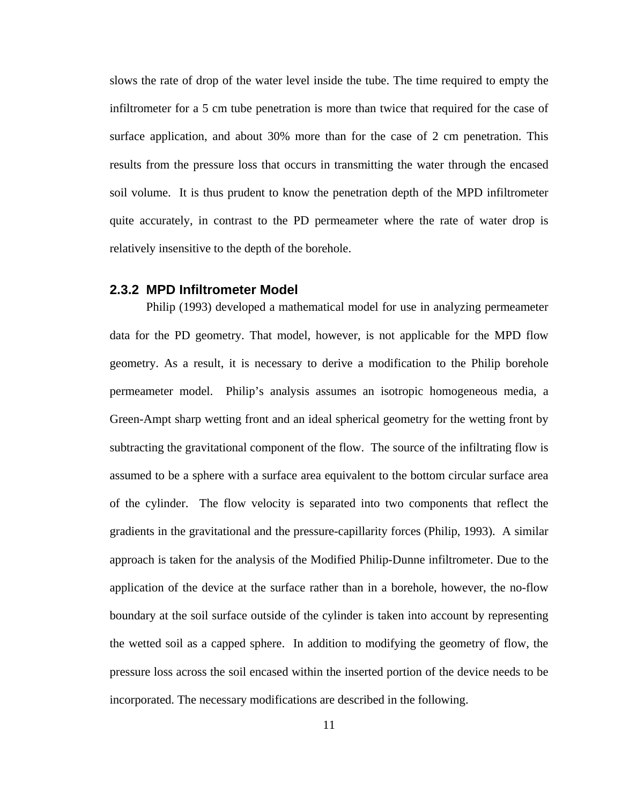slows the rate of drop of the water level inside the tube. The time required to empty the infiltrometer for a 5 cm tube penetration is more than twice that required for the case of surface application, and about 30% more than for the case of 2 cm penetration. This results from the pressure loss that occurs in transmitting the water through the encased soil volume. It is thus prudent to know the penetration depth of the MPD infiltrometer quite accurately, in contrast to the PD permeameter where the rate of water drop is relatively insensitive to the depth of the borehole.

#### **2.3.2 MPD Infiltrometer Model**

Philip (1993) developed a mathematical model for use in analyzing permeameter data for the PD geometry. That model, however, is not applicable for the MPD flow geometry. As a result, it is necessary to derive a modification to the Philip borehole permeameter model. Philip's analysis assumes an isotropic homogeneous media, a Green-Ampt sharp wetting front and an ideal spherical geometry for the wetting front by subtracting the gravitational component of the flow. The source of the infiltrating flow is assumed to be a sphere with a surface area equivalent to the bottom circular surface area of the cylinder. The flow velocity is separated into two components that reflect the gradients in the gravitational and the pressure-capillarity forces (Philip, 1993). A similar approach is taken for the analysis of the Modified Philip-Dunne infiltrometer. Due to the application of the device at the surface rather than in a borehole, however, the no-flow boundary at the soil surface outside of the cylinder is taken into account by representing the wetted soil as a capped sphere. In addition to modifying the geometry of flow, the pressure loss across the soil encased within the inserted portion of the device needs to be incorporated. The necessary modifications are described in the following.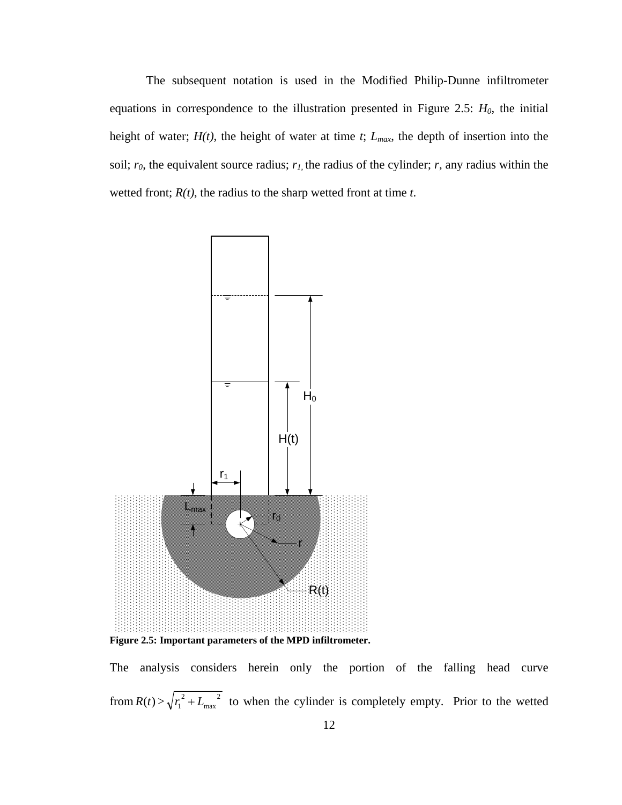The subsequent notation is used in the Modified Philip-Dunne infiltrometer equations in correspondence to the illustration presented in Figure 2.5:  $H_0$ , the initial height of water; *H(t)*, the height of water at time *t*; *Lmax*, the depth of insertion into the soil;  $r_0$ , the equivalent source radius;  $r_1$ , the radius of the cylinder;  $r$ , any radius within the wetted front; *R(t)*, the radius to the sharp wetted front at time *t*.



The analysis considers herein only the portion of the falling head curve from  $R(t) > \sqrt{r_1^2 + L_{\max}^2}$ max  $r_1^2 + L_{\text{max}}^2$  to when the cylinder is completely empty. Prior to the wetted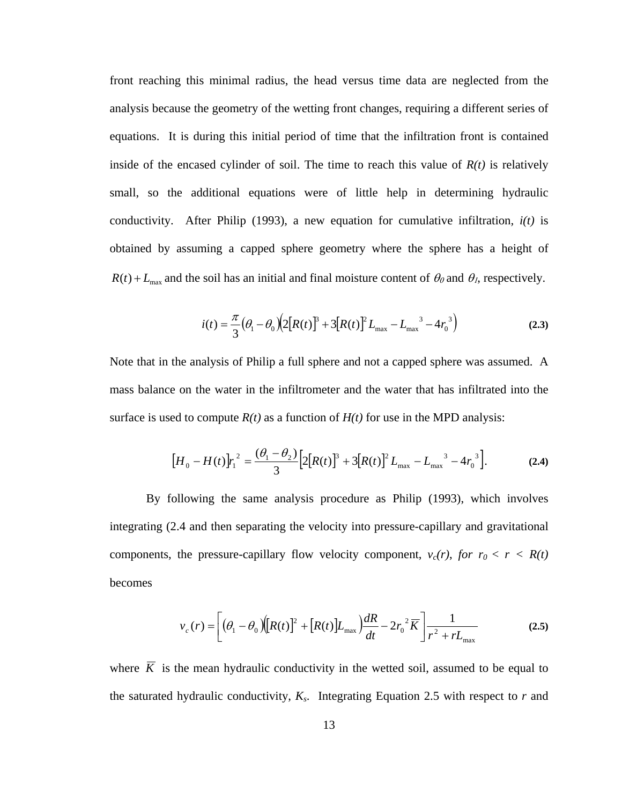front reaching this minimal radius, the head versus time data are neglected from the analysis because the geometry of the wetting front changes, requiring a different series of equations. It is during this initial period of time that the infiltration front is contained inside of the encased cylinder of soil. The time to reach this value of  $R(t)$  is relatively small, so the additional equations were of little help in determining hydraulic conductivity. After Philip (1993), a new equation for cumulative infiltration*, i(t)* is obtained by assuming a capped sphere geometry where the sphere has a height of  $R(t) + L_{\text{max}}$  and the soil has an initial and final moisture content of  $\theta_0$  and  $\theta_1$ , respectively.

$$
i(t) = \frac{\pi}{3} \left( \theta_1 - \theta_0 \right) \left( 2 \left[ R(t) \right]^3 + 3 \left[ R(t) \right]^2 L_{\text{max}} - L_{\text{max}}^3 - 4 r_0^3 \right)
$$
 (2.3)

Note that in the analysis of Philip a full sphere and not a capped sphere was assumed. A mass balance on the water in the infiltrometer and the water that has infiltrated into the surface is used to compute  $R(t)$  as a function of  $H(t)$  for use in the MPD analysis:

$$
[H_0 - H(t)]r_1^2 = \frac{(\theta_1 - \theta_2)}{3} \Big[ 2[R(t)]^3 + 3[R(t)]^2 L_{\text{max}} - L_{\text{max}}^3 - 4r_0^3 \Big].
$$
 (2.4)

By following the same analysis procedure as Philip (1993), which involves integrating (2.4 and then separating the velocity into pressure-capillary and gravitational components, the pressure-capillary flow velocity component,  $v_c(r)$ , for  $r_0 < r < R(t)$ becomes

$$
v_c(r) = \left[ \left( \theta_1 - \theta_0 \right) \left( \left[ R(t) \right]^2 + \left[ R(t) \right] L_{\text{max}} \right) \frac{dR}{dt} - 2r_0^2 \overline{K} \right] \frac{1}{r^2 + rL_{\text{max}}} \tag{2.5}
$$

where  $\overline{K}$  is the mean hydraulic conductivity in the wetted soil, assumed to be equal to the saturated hydraulic conductivity,  $K_s$ . Integrating Equation 2.5 with respect to  $r$  and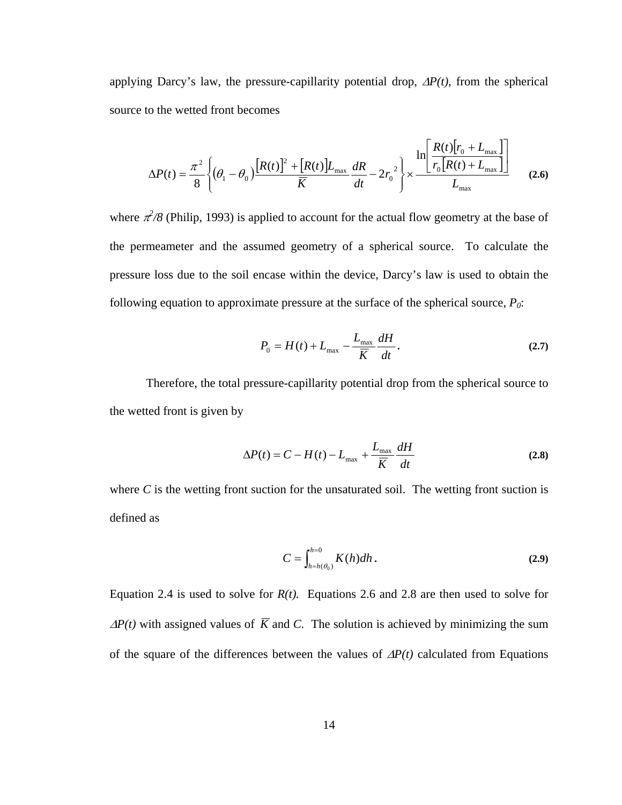applying Darcy's law, the pressure-capillarity potential drop, ∆*P(t)*, from the spherical source to the wetted front becomes

$$
\Delta P(t) = \frac{\pi^2}{8} \left\{ (\theta_1 - \theta_0) \frac{[R(t)]^2 + [R(t)]L_{\text{max}}}{\overline{K}} \frac{dR}{dt} - 2r_0^2 \right\} \times \frac{\ln \left[ \frac{R(t)[r_0 + L_{\text{max}}]}{r_0[R(t) + L_{\text{max}}]} \right]}{L_{\text{max}}} \tag{2.6}
$$

where  $\pi^2/8$  (Philip, 1993) is applied to account for the actual flow geometry at the base of the permeameter and the assumed geometry of a spherical source. To calculate the pressure loss due to the soil encase within the device, Darcy's law is used to obtain the following equation to approximate pressure at the surface of the spherical source,  $P_0$ :

$$
P_0 = H(t) + L_{\text{max}} - \frac{L_{\text{max}}}{\overline{K}} \frac{dH}{dt}.
$$
 (2.7)

Therefore, the total pressure-capillarity potential drop from the spherical source to the wetted front is given by

$$
\Delta P(t) = C - H(t) - L_{\text{max}} + \frac{L_{\text{max}}}{\overline{K}} \frac{dH}{dt}
$$
 (2.8)

where  $C$  is the wetting front suction for the unsaturated soil. The wetting front suction is defined as

$$
C = \int_{h=h(\theta_0)}^{h=0} K(h) dh.
$$
 (2.9)

Equation 2.4 is used to solve for  $R(t)$ . Equations 2.6 and 2.8 are then used to solve for  $\Delta P(t)$  with assigned values of  $\overline{K}$  and *C*. The solution is achieved by minimizing the sum of the square of the differences between the values of ∆*P(t)* calculated from Equations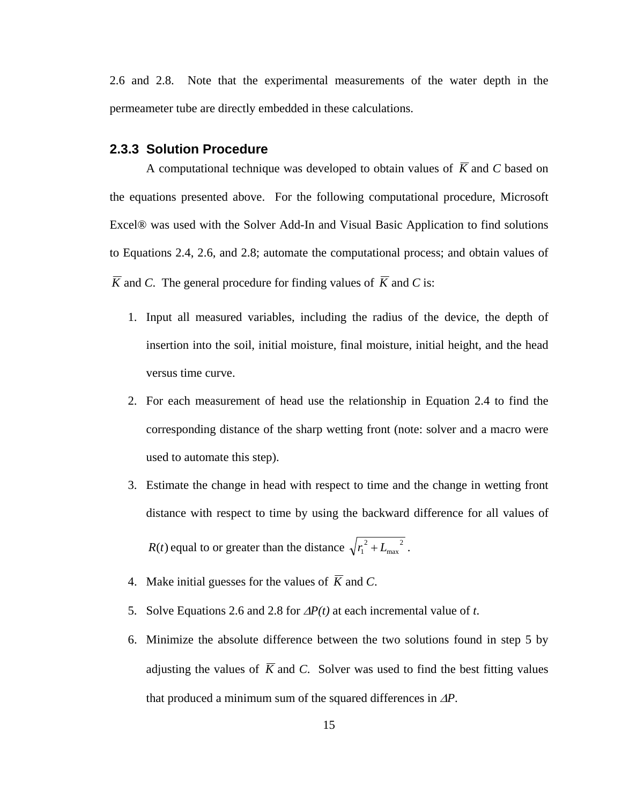2.6 and 2.8. Note that the experimental measurements of the water depth in the permeameter tube are directly embedded in these calculations.

#### **2.3.3 Solution Procedure**

A computational technique was developed to obtain values of  $\overline{K}$  and  $C$  based on the equations presented above. For the following computational procedure, Microsoft Excel® was used with the Solver Add-In and Visual Basic Application to find solutions to Equations 2.4, 2.6, and 2.8; automate the computational process; and obtain values of  $\overline{K}$  and *C*. The general procedure for finding values of  $\overline{K}$  and *C* is:

- 1. Input all measured variables, including the radius of the device, the depth of insertion into the soil, initial moisture, final moisture, initial height, and the head versus time curve.
- 2. For each measurement of head use the relationship in Equation 2.4 to find the corresponding distance of the sharp wetting front (note: solver and a macro were used to automate this step).
- 3. Estimate the change in head with respect to time and the change in wetting front distance with respect to time by using the backward difference for all values of *R*(*t*) equal to or greater than the distance  $\sqrt{r_1^2 + L_{\max}^2}$  $r_1^2 + L_{\text{max}}^2$ .
- 4. Make initial guesses for the values of  $\overline{K}$  and *C*.
- 5. Solve Equations 2.6 and 2.8 for ∆*P(t)* at each incremental value of *t*.
- 6. Minimize the absolute difference between the two solutions found in step 5 by adjusting the values of  $\overline{K}$  and *C*. Solver was used to find the best fitting values that produced a minimum sum of the squared differences in ∆*P*.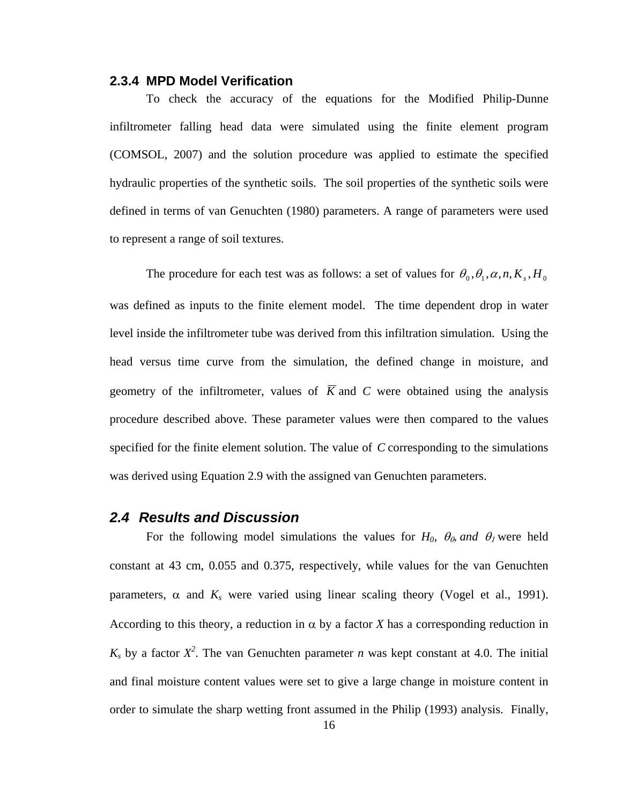#### **2.3.4 MPD Model Verification**

To check the accuracy of the equations for the Modified Philip-Dunne infiltrometer falling head data were simulated using the finite element program (COMSOL, 2007) and the solution procedure was applied to estimate the specified hydraulic properties of the synthetic soils. The soil properties of the synthetic soils were defined in terms of van Genuchten (1980) parameters. A range of parameters were used to represent a range of soil textures.

The procedure for each test was as follows: a set of values for  $\theta_0$ ,  $\theta_1$ ,  $\alpha$ ,  $n$ ,  $K_s$ ,  $H_0$ was defined as inputs to the finite element model. The time dependent drop in water level inside the infiltrometer tube was derived from this infiltration simulation. Using the head versus time curve from the simulation, the defined change in moisture, and geometry of the infiltrometer, values of  $\overline{K}$  and C were obtained using the analysis procedure described above. These parameter values were then compared to the values specified for the finite element solution. The value of *C* corresponding to the simulations was derived using Equation 2.9 with the assigned van Genuchten parameters.

#### *2.4 Results and Discussion*

For the following model simulations the values for  $H_0$ ,  $\theta_0$ , and  $\theta_1$  were held constant at 43 cm, 0.055 and 0.375, respectively, while values for the van Genuchten parameters,  $\alpha$  and  $K_s$  were varied using linear scaling theory (Vogel et al., 1991). According to this theory, a reduction in  $\alpha$  by a factor *X* has a corresponding reduction in  $K_s$  by a factor  $X^2$ . The van Genuchten parameter *n* was kept constant at 4.0. The initial and final moisture content values were set to give a large change in moisture content in order to simulate the sharp wetting front assumed in the Philip (1993) analysis. Finally,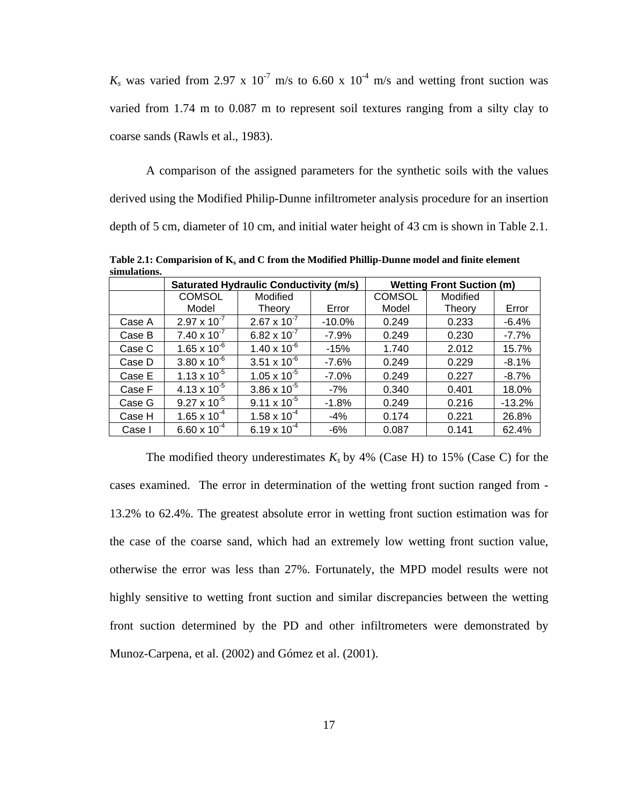$K_s$  was varied from 2.97 x 10<sup>-7</sup> m/s to 6.60 x 10<sup>-4</sup> m/s and wetting front suction was varied from 1.74 m to 0.087 m to represent soil textures ranging from a silty clay to coarse sands (Rawls et al., 1983).

A comparison of the assigned parameters for the synthetic soils with the values derived using the Modified Philip-Dunne infiltrometer analysis procedure for an insertion depth of 5 cm, diameter of 10 cm, and initial water height of 43 cm is shown in Table 2.1.

Saturated Hydraulic Conductivity (m/s) | Wetting Front Suction (m) **COMSOL** Model Modified Theory | Error **COMSOL** Model Modified Theory | Error Case A 2.97 x 10-7 2.67 x 10-7 -10.0% 0.249 0.233 -6.4% Case B  $\begin{array}{|c|c|c|c|c|c|c|c|c|} \hline \end{array}$  7.40 x 10<sup>-7</sup> | 6.82 x 10<sup>-7</sup> | -7.9% | 0.249 | 0.230 | -7.7% Case C  $\,$   $\,$  1.65 x 10 $^{6}$   $\,$   $\,$  1.40 x 10 $^{6}$   $\,$   $\,$  -15%  $\,$   $\,$  1.740  $\,$   $\,$  2.012  $\,$   $\,$  15.7% Case D |  $3.80 \times 10^{-6}$  |  $3.51 \times 10^{-6}$  |  $-7.6\%$  | 0.249 | 0.229 |  $-8.1\%$ Case E |  $1.13 \times 10^{-5}$  |  $1.05 \times 10^{-5}$  |  $-7.0\%$  | 0.249 | 0.227 | -8.7% Case F |  $4.13 \times 10^{-5}$  |  $3.86 \times 10^{-5}$  |  $-7\%$  | 0.340 | 0.401 | 18.0% Case G 9.27 x 10-5 9.11 x 10-5 -1.8% 0.249 0.216 -13.2% Case H | 1.65 x 10<sup>-4</sup> | 1.58 x 10<sup>-4</sup> | -4% | 0.174 | 0.221 | 26.8% Case I  $\begin{array}{|c|c|c|c|c|c|c|c|c|} \hline \end{array}$  6.60 x 10<sup>-4</sup>  $\begin{array}{|c|c|c|c|c|c|c|c|} \hline \end{array}$  6.141  $\begin{array}{|c|c|c|c|c|c|c|c|c|} \hline \end{array}$  6.49%

Table 2.1: Comparision of K<sub>s</sub> and C from the Modified Phillip-Dunne model and finite element **simulations.** 

The modified theory underestimates  $K_s$  by 4% (Case H) to 15% (Case C) for the cases examined. The error in determination of the wetting front suction ranged from - 13.2% to 62.4%. The greatest absolute error in wetting front suction estimation was for the case of the coarse sand, which had an extremely low wetting front suction value, otherwise the error was less than 27%. Fortunately, the MPD model results were not highly sensitive to wetting front suction and similar discrepancies between the wetting front suction determined by the PD and other infiltrometers were demonstrated by Munoz-Carpena, et al. (2002) and Gómez et al. (2001).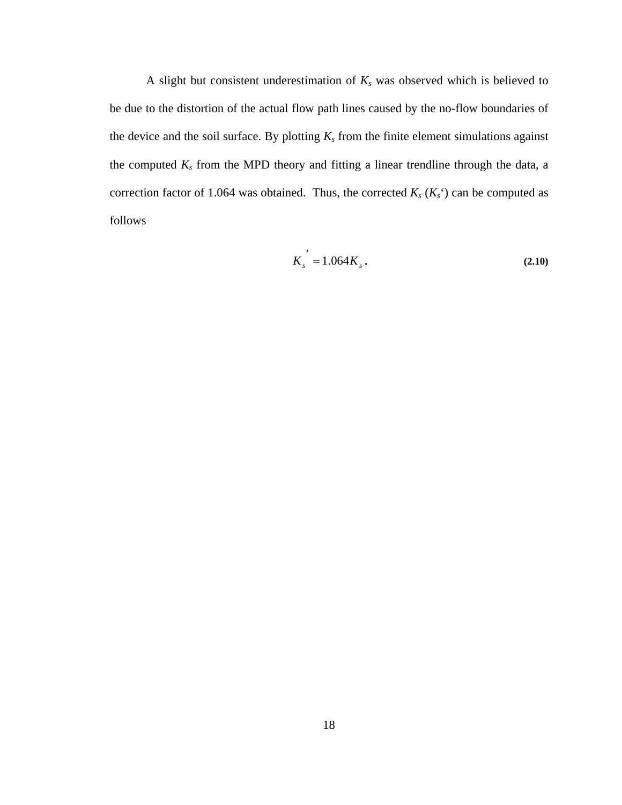A slight but consistent underestimation of  $K_s$  was observed which is believed to be due to the distortion of the actual flow path lines caused by the no-flow boundaries of the device and the soil surface. By plotting  $K_s$  from the finite element simulations against the computed  $K_s$  from the MPD theory and fitting a linear trendline through the data, a correction factor of 1.064 was obtained. Thus, the corrected  $K_s$  ( $K_s$ <sup>c</sup>) can be computed as follows

$$
K_s^{\prime} = 1.064 K_s \,. \tag{2.10}
$$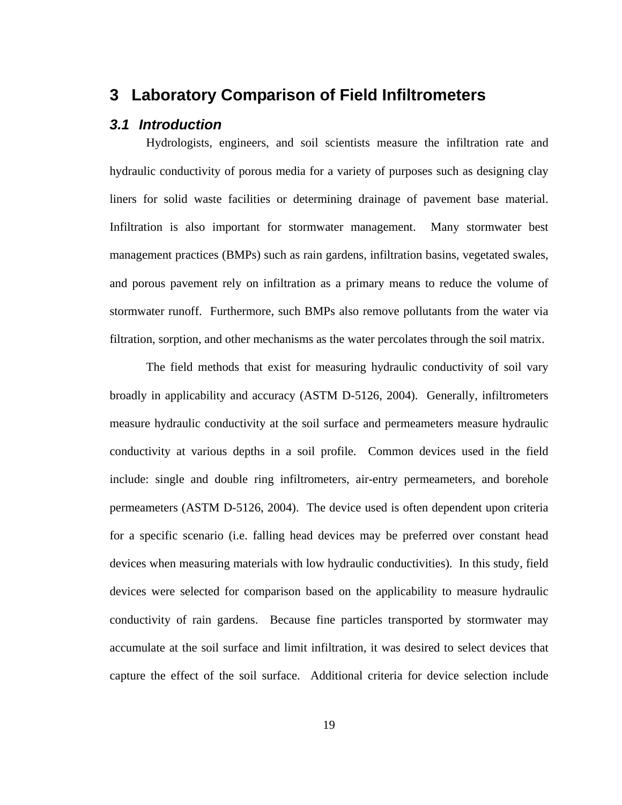## **3 Laboratory Comparison of Field Infiltrometers**

#### *3.1 Introduction*

 Hydrologists, engineers, and soil scientists measure the infiltration rate and hydraulic conductivity of porous media for a variety of purposes such as designing clay liners for solid waste facilities or determining drainage of pavement base material. Infiltration is also important for stormwater management. Many stormwater best management practices (BMPs) such as rain gardens, infiltration basins, vegetated swales, and porous pavement rely on infiltration as a primary means to reduce the volume of stormwater runoff. Furthermore, such BMPs also remove pollutants from the water via filtration, sorption, and other mechanisms as the water percolates through the soil matrix.

 The field methods that exist for measuring hydraulic conductivity of soil vary broadly in applicability and accuracy (ASTM D-5126, 2004). Generally, infiltrometers measure hydraulic conductivity at the soil surface and permeameters measure hydraulic conductivity at various depths in a soil profile. Common devices used in the field include: single and double ring infiltrometers, air-entry permeameters, and borehole permeameters (ASTM D-5126, 2004). The device used is often dependent upon criteria for a specific scenario (i.e. falling head devices may be preferred over constant head devices when measuring materials with low hydraulic conductivities). In this study, field devices were selected for comparison based on the applicability to measure hydraulic conductivity of rain gardens. Because fine particles transported by stormwater may accumulate at the soil surface and limit infiltration, it was desired to select devices that capture the effect of the soil surface. Additional criteria for device selection include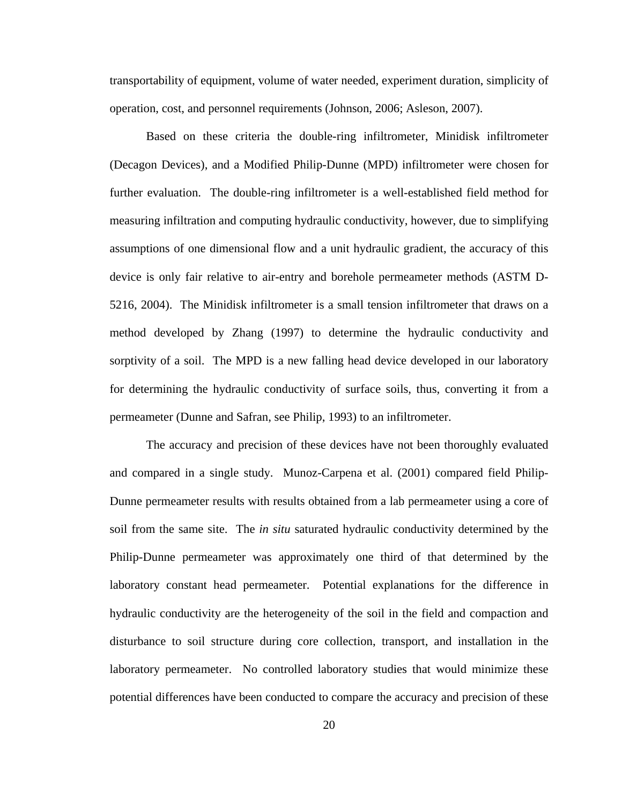transportability of equipment, volume of water needed, experiment duration, simplicity of operation, cost, and personnel requirements (Johnson, 2006; Asleson, 2007).

 Based on these criteria the double-ring infiltrometer, Minidisk infiltrometer (Decagon Devices), and a Modified Philip-Dunne (MPD) infiltrometer were chosen for further evaluation. The double-ring infiltrometer is a well-established field method for measuring infiltration and computing hydraulic conductivity, however, due to simplifying assumptions of one dimensional flow and a unit hydraulic gradient, the accuracy of this device is only fair relative to air-entry and borehole permeameter methods (ASTM D-5216, 2004). The Minidisk infiltrometer is a small tension infiltrometer that draws on a method developed by Zhang (1997) to determine the hydraulic conductivity and sorptivity of a soil. The MPD is a new falling head device developed in our laboratory for determining the hydraulic conductivity of surface soils, thus, converting it from a permeameter (Dunne and Safran, see Philip, 1993) to an infiltrometer.

 The accuracy and precision of these devices have not been thoroughly evaluated and compared in a single study. Munoz-Carpena et al. (2001) compared field Philip-Dunne permeameter results with results obtained from a lab permeameter using a core of soil from the same site. The *in situ* saturated hydraulic conductivity determined by the Philip-Dunne permeameter was approximately one third of that determined by the laboratory constant head permeameter. Potential explanations for the difference in hydraulic conductivity are the heterogeneity of the soil in the field and compaction and disturbance to soil structure during core collection, transport, and installation in the laboratory permeameter. No controlled laboratory studies that would minimize these potential differences have been conducted to compare the accuracy and precision of these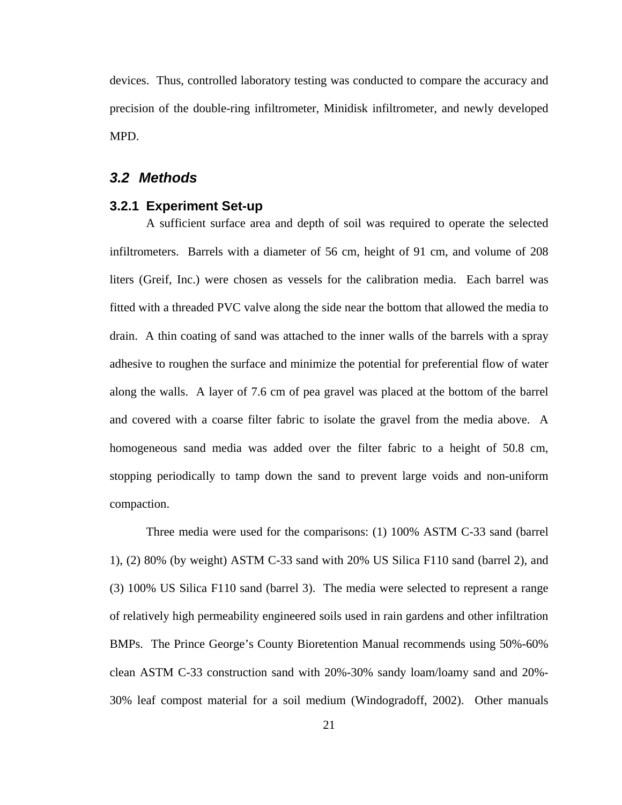devices. Thus, controlled laboratory testing was conducted to compare the accuracy and precision of the double-ring infiltrometer, Minidisk infiltrometer, and newly developed MPD.

#### *3.2 Methods*

#### **3.2.1 Experiment Set-up**

A sufficient surface area and depth of soil was required to operate the selected infiltrometers. Barrels with a diameter of 56 cm, height of 91 cm, and volume of 208 liters (Greif, Inc.) were chosen as vessels for the calibration media. Each barrel was fitted with a threaded PVC valve along the side near the bottom that allowed the media to drain. A thin coating of sand was attached to the inner walls of the barrels with a spray adhesive to roughen the surface and minimize the potential for preferential flow of water along the walls. A layer of 7.6 cm of pea gravel was placed at the bottom of the barrel and covered with a coarse filter fabric to isolate the gravel from the media above. A homogeneous sand media was added over the filter fabric to a height of 50.8 cm, stopping periodically to tamp down the sand to prevent large voids and non-uniform compaction.

Three media were used for the comparisons: (1) 100% ASTM C-33 sand (barrel 1), (2) 80% (by weight) ASTM C-33 sand with 20% US Silica F110 sand (barrel 2), and (3) 100% US Silica F110 sand (barrel 3). The media were selected to represent a range of relatively high permeability engineered soils used in rain gardens and other infiltration BMPs. The Prince George's County Bioretention Manual recommends using 50%-60% clean ASTM C-33 construction sand with 20%-30% sandy loam/loamy sand and 20%- 30% leaf compost material for a soil medium (Windogradoff, 2002). Other manuals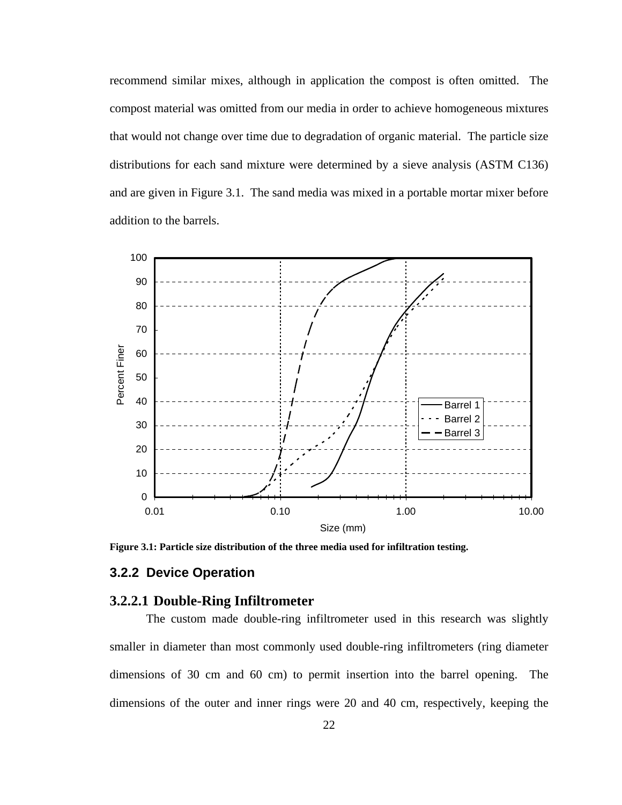recommend similar mixes, although in application the compost is often omitted. The compost material was omitted from our media in order to achieve homogeneous mixtures that would not change over time due to degradation of organic material. The particle size distributions for each sand mixture were determined by a sieve analysis (ASTM C136) and are given in Figure 3.1. The sand media was mixed in a portable mortar mixer before addition to the barrels.



**Figure 3.1: Particle size distribution of the three media used for infiltration testing.** 

#### **3.2.2 Device Operation**

#### **3.2.2.1 Double-Ring Infiltrometer**

The custom made double-ring infiltrometer used in this research was slightly smaller in diameter than most commonly used double-ring infiltrometers (ring diameter dimensions of 30 cm and 60 cm) to permit insertion into the barrel opening. The dimensions of the outer and inner rings were 20 and 40 cm, respectively, keeping the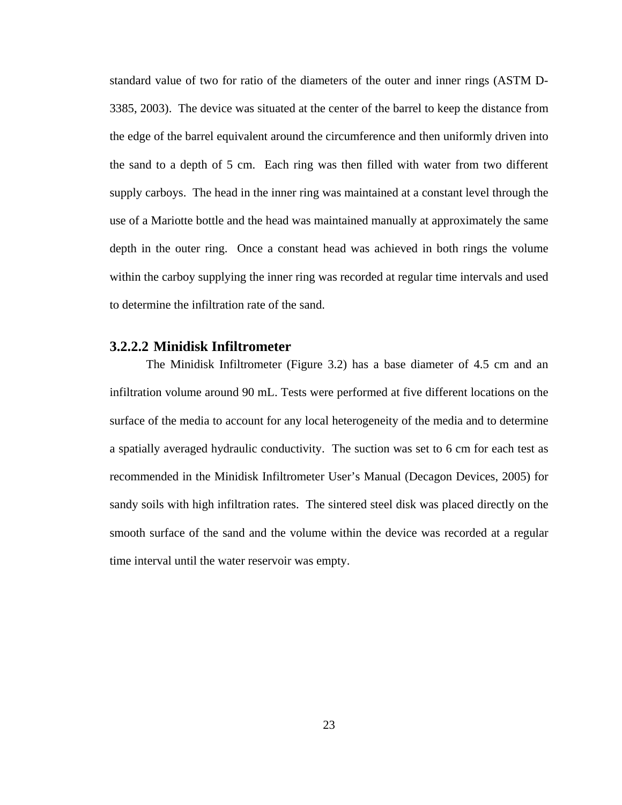standard value of two for ratio of the diameters of the outer and inner rings (ASTM D-3385, 2003). The device was situated at the center of the barrel to keep the distance from the edge of the barrel equivalent around the circumference and then uniformly driven into the sand to a depth of 5 cm. Each ring was then filled with water from two different supply carboys. The head in the inner ring was maintained at a constant level through the use of a Mariotte bottle and the head was maintained manually at approximately the same depth in the outer ring. Once a constant head was achieved in both rings the volume within the carboy supplying the inner ring was recorded at regular time intervals and used to determine the infiltration rate of the sand.

#### **3.2.2.2 Minidisk Infiltrometer**

The Minidisk Infiltrometer (Figure 3.2) has a base diameter of 4.5 cm and an infiltration volume around 90 mL. Tests were performed at five different locations on the surface of the media to account for any local heterogeneity of the media and to determine a spatially averaged hydraulic conductivity. The suction was set to 6 cm for each test as recommended in the Minidisk Infiltrometer User's Manual (Decagon Devices, 2005) for sandy soils with high infiltration rates. The sintered steel disk was placed directly on the smooth surface of the sand and the volume within the device was recorded at a regular time interval until the water reservoir was empty.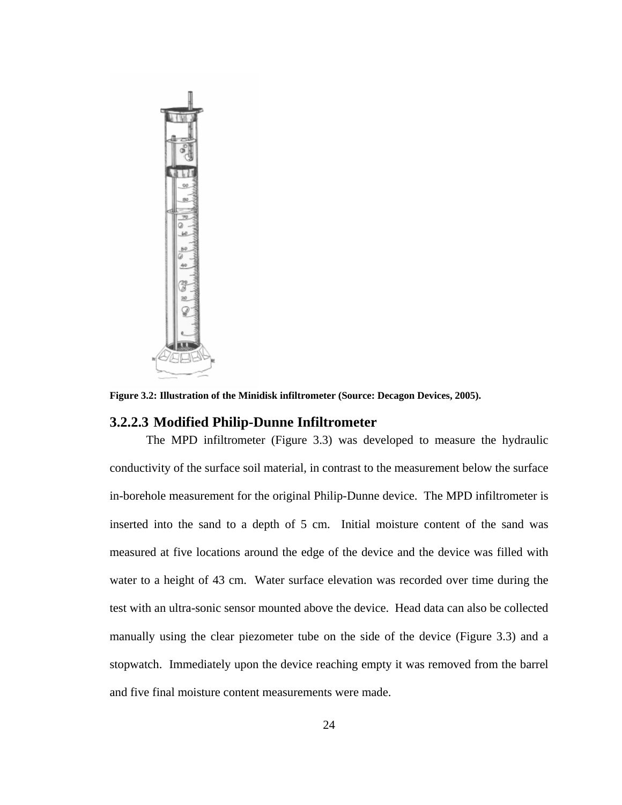

**Figure 3.2: Illustration of the Minidisk infiltrometer (Source: Decagon Devices, 2005).** 

#### **3.2.2.3 Modified Philip-Dunne Infiltrometer**

The MPD infiltrometer (Figure 3.3) was developed to measure the hydraulic conductivity of the surface soil material, in contrast to the measurement below the surface in-borehole measurement for the original Philip-Dunne device. The MPD infiltrometer is inserted into the sand to a depth of 5 cm. Initial moisture content of the sand was measured at five locations around the edge of the device and the device was filled with water to a height of 43 cm. Water surface elevation was recorded over time during the test with an ultra-sonic sensor mounted above the device. Head data can also be collected manually using the clear piezometer tube on the side of the device (Figure 3.3) and a stopwatch. Immediately upon the device reaching empty it was removed from the barrel and five final moisture content measurements were made.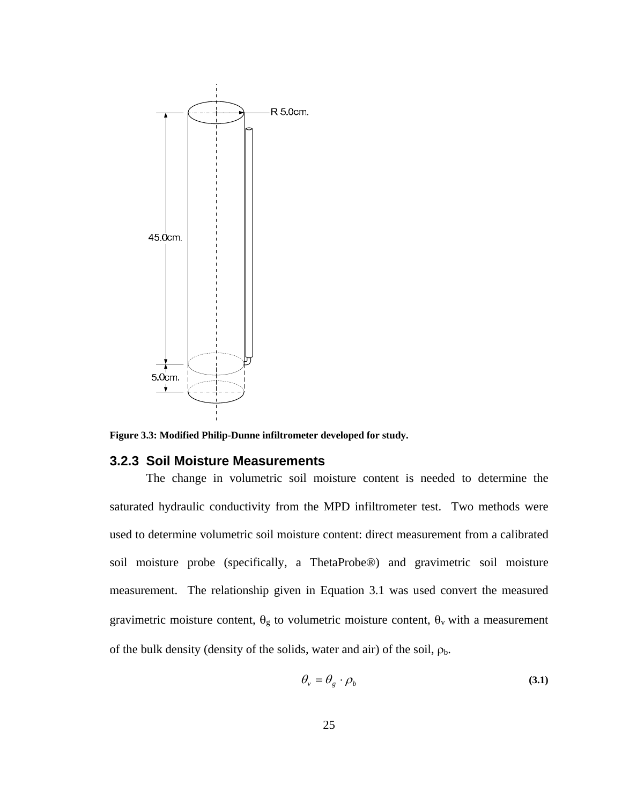

**Figure 3.3: Modified Philip-Dunne infiltrometer developed for study.** 

#### **3.2.3 Soil Moisture Measurements**

The change in volumetric soil moisture content is needed to determine the saturated hydraulic conductivity from the MPD infiltrometer test. Two methods were used to determine volumetric soil moisture content: direct measurement from a calibrated soil moisture probe (specifically, a ThetaProbe®) and gravimetric soil moisture measurement. The relationship given in Equation 3.1 was used convert the measured gravimetric moisture content,  $\theta_g$  to volumetric moisture content,  $\theta_v$  with a measurement of the bulk density (density of the solids, water and air) of the soil,  $\rho_b$ .

$$
\theta_{v} = \theta_{g} \cdot \rho_{b} \tag{3.1}
$$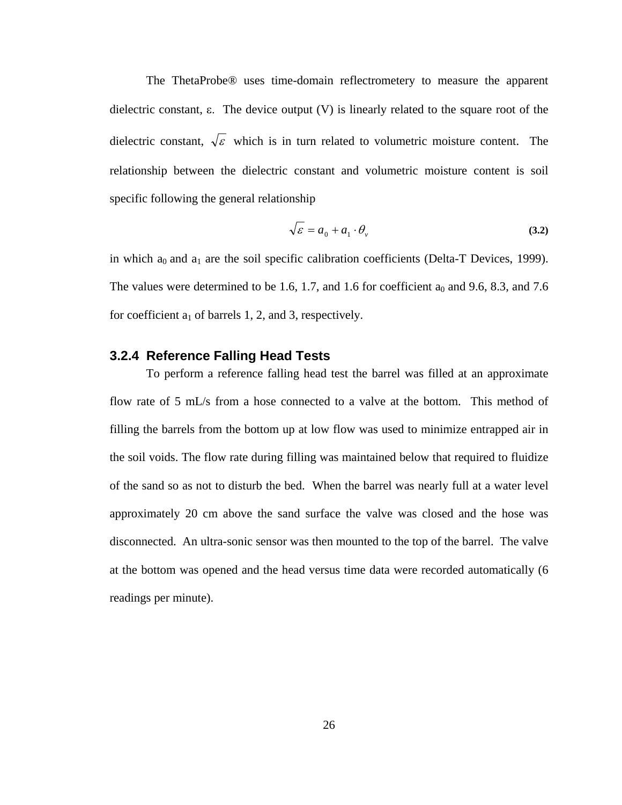The ThetaProbe® uses time-domain reflectrometery to measure the apparent dielectric constant, ε. The device output (V) is linearly related to the square root of the dielectric constant,  $\sqrt{\varepsilon}$  which is in turn related to volumetric moisture content. The relationship between the dielectric constant and volumetric moisture content is soil specific following the general relationship

$$
\sqrt{\varepsilon} = a_0 + a_1 \cdot \theta_v \tag{3.2}
$$

in which  $a_0$  and  $a_1$  are the soil specific calibration coefficients (Delta-T Devices, 1999). The values were determined to be 1.6, 1.7, and 1.6 for coefficient  $a_0$  and 9.6, 8.3, and 7.6 for coefficient  $a_1$  of barrels 1, 2, and 3, respectively.

#### **3.2.4 Reference Falling Head Tests**

To perform a reference falling head test the barrel was filled at an approximate flow rate of 5 mL/s from a hose connected to a valve at the bottom. This method of filling the barrels from the bottom up at low flow was used to minimize entrapped air in the soil voids. The flow rate during filling was maintained below that required to fluidize of the sand so as not to disturb the bed. When the barrel was nearly full at a water level approximately 20 cm above the sand surface the valve was closed and the hose was disconnected. An ultra-sonic sensor was then mounted to the top of the barrel. The valve at the bottom was opened and the head versus time data were recorded automatically (6 readings per minute).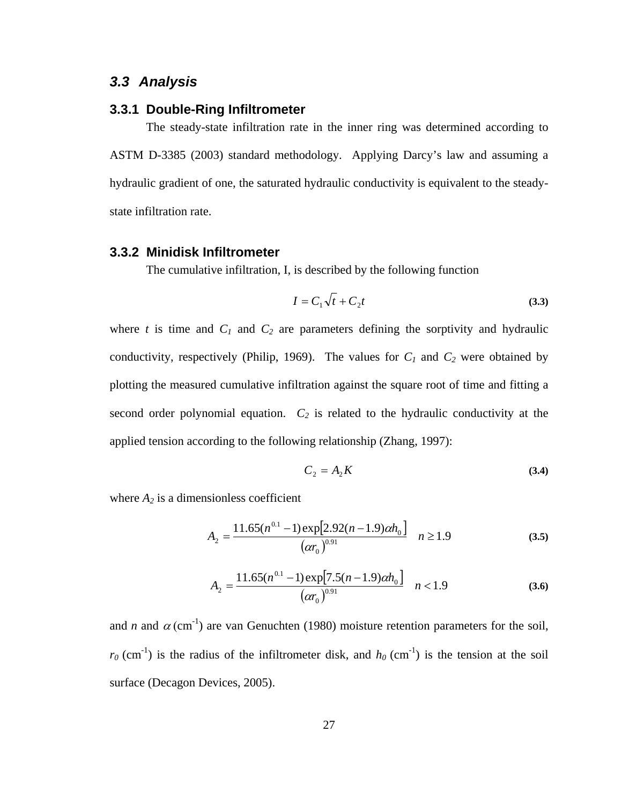### *3.3 Analysis*

#### **3.3.1 Double-Ring Infiltrometer**

The steady-state infiltration rate in the inner ring was determined according to ASTM D-3385 (2003) standard methodology. Applying Darcy's law and assuming a hydraulic gradient of one, the saturated hydraulic conductivity is equivalent to the steadystate infiltration rate.

#### **3.3.2 Minidisk Infiltrometer**

The cumulative infiltration, I, is described by the following function

$$
I = C_1 \sqrt{t} + C_2 t \tag{3.3}
$$

where  $t$  is time and  $C_1$  and  $C_2$  are parameters defining the sorptivity and hydraulic conductivity, respectively (Philip, 1969). The values for  $C_1$  and  $C_2$  were obtained by plotting the measured cumulative infiltration against the square root of time and fitting a second order polynomial equation.  $C_2$  is related to the hydraulic conductivity at the applied tension according to the following relationship (Zhang, 1997):

$$
C_2 = A_2 K \tag{3.4}
$$

where  $A_2$  is a dimensionless coefficient

$$
A_2 = \frac{11.65(n^{0.1} - 1)\exp[2.92(n - 1.9)\alpha h_0]}{(a r_0)^{0.91}} \quad n \ge 1.9
$$
 (3.5)

$$
A_2 = \frac{11.65(n^{0.1} - 1)\exp[7.5(n - 1.9)\alpha h_0]}{(\alpha r_0)^{0.91}} \quad n < 1.9
$$
 (3.6)

and *n* and  $\alpha$  (cm<sup>-1</sup>) are van Genuchten (1980) moisture retention parameters for the soil,  $r_0$  (cm<sup>-1</sup>) is the radius of the infiltrometer disk, and  $h_0$  (cm<sup>-1</sup>) is the tension at the soil surface (Decagon Devices, 2005).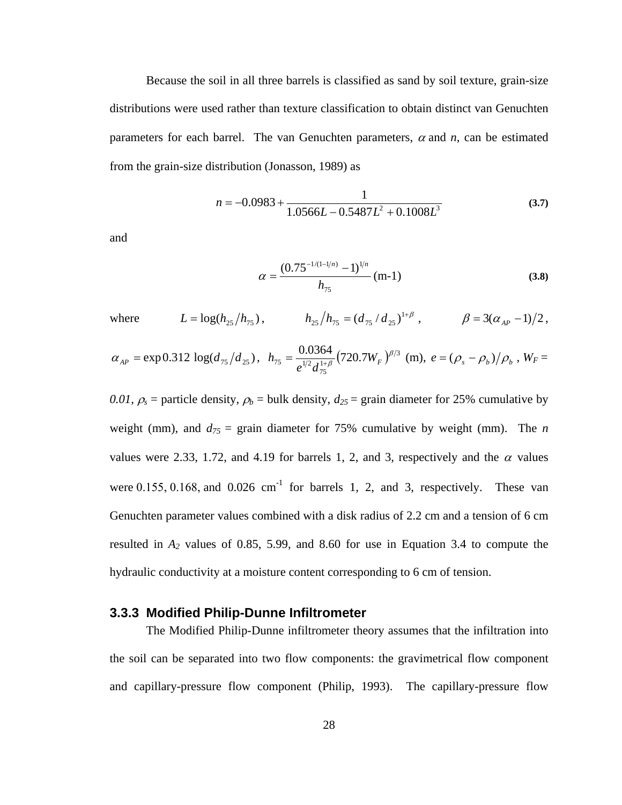Because the soil in all three barrels is classified as sand by soil texture, grain-size distributions were used rather than texture classification to obtain distinct van Genuchten parameters for each barrel. The van Genuchten parameters,  $\alpha$  and  $n$ , can be estimated from the grain-size distribution (Jonasson, 1989) as

$$
n = -0.0983 + \frac{1}{1.0566L - 0.5487L^2 + 0.1008L^3}
$$
 (3.7)

and

$$
\alpha = \frac{(0.75^{-1/(1-1/n)} - 1)^{1/n}}{h_{75}} \text{ (m-1)}
$$
\n(3.8)

where 
$$
L = \log(h_{25}/h_{75}),
$$
  $h_{25}/h_{75} = (d_{75}/d_{25})^{1+\beta},$   $\beta = 3(\alpha_{AP} - 1)/2,$ 

$$
\alpha_{AP} = \exp 0.312 \log (d_{75}/d_{25}), \ \ h_{75} = \frac{0.0364}{e^{1/2} d_{75}^{1+\beta}} (720.7W_F)^{\beta/3} \ \ (\text{m}), \ e = (\rho_s - \rho_b) / \rho_b \ , \ W_F =
$$

*0.01,*  $\rho_s$  = particle density,  $\rho_b$  = bulk density,  $d_{25}$  = grain diameter for 25% cumulative by weight (mm), and  $d_{75}$  = grain diameter for 75% cumulative by weight (mm). The *n* values were 2.33, 1.72, and 4.19 for barrels 1, 2, and 3, respectively and the  $\alpha$  values were 0.155, 0.168, and 0.026 cm<sup>-1</sup> for barrels 1, 2, and 3, respectively. These van Genuchten parameter values combined with a disk radius of 2.2 cm and a tension of 6 cm resulted in  $A_2$  values of 0.85, 5.99, and 8.60 for use in Equation 3.4 to compute the hydraulic conductivity at a moisture content corresponding to 6 cm of tension.

#### **3.3.3 Modified Philip-Dunne Infiltrometer**

The Modified Philip-Dunne infiltrometer theory assumes that the infiltration into the soil can be separated into two flow components: the gravimetrical flow component and capillary-pressure flow component (Philip, 1993). The capillary-pressure flow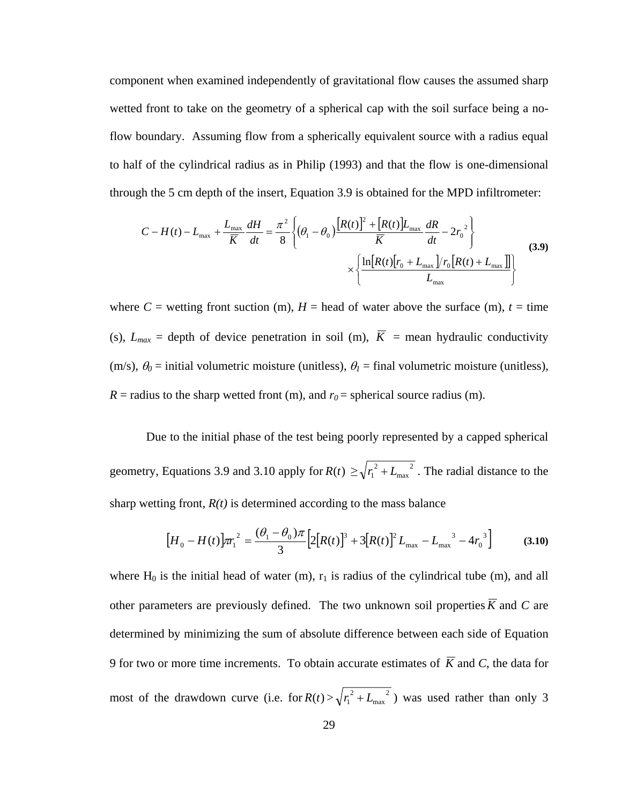component when examined independently of gravitational flow causes the assumed sharp wetted front to take on the geometry of a spherical cap with the soil surface being a noflow boundary. Assuming flow from a spherically equivalent source with a radius equal to half of the cylindrical radius as in Philip (1993) and that the flow is one-dimensional through the 5 cm depth of the insert, Equation 3.9 is obtained for the MPD infiltrometer:

$$
C - H(t) - L_{\text{max}} + \frac{L_{\text{max}}}{\overline{K}} \frac{dH}{dt} = \frac{\pi^2}{8} \left\{ (\theta_1 - \theta_0) \frac{\left[ R(t) \right]^2 + \left[ R(t) \right] L_{\text{max}}}{\overline{K}} \frac{dR}{dt} - 2r_0^2 \right\}
$$
\n
$$
\times \left\{ \frac{\ln \left[ R(t) \left[ r_0 + L_{\text{max}} \right] / r_0 \left[ R(t) + L_{\text{max}} \right] \right]}{L_{\text{max}}} \right\}
$$
\n(3.9)

where  $C$  = wetting front suction (m),  $H$  = head of water above the surface (m),  $t$  = time (s),  $L_{max}$  = depth of device penetration in soil (m),  $\overline{K}$  = mean hydraulic conductivity (m/s),  $\theta_0$  = initial volumetric moisture (unitless),  $\theta_1$  = final volumetric moisture (unitless),  $R$  = radius to the sharp wetted front (m), and  $r_0$  = spherical source radius (m).

 Due to the initial phase of the test being poorly represented by a capped spherical geometry, Equations 3.9 and 3.10 apply for  $R(t) \ge \sqrt{r_1^2 + L_{\text{max}}^2}$  $r_1^2 + L_{\text{max}}^2$ . The radial distance to the sharp wetting front,  $R(t)$  is determined according to the mass balance

$$
\left[H_0 - H(t)\right] \pi_1^2 = \frac{(\theta_1 - \theta_0)\pi}{3} \left[2\left[R(t)\right]^3 + 3\left[R(t)\right]^2 L_{\text{max}} - L_{\text{max}}^3 - 4r_0^3\right] \tag{3.10}
$$

where  $H_0$  is the initial head of water (m),  $r_1$  is radius of the cylindrical tube (m), and all other parameters are previously defined. The two unknown soil properties  $\overline{K}$  and  $C$  are determined by minimizing the sum of absolute difference between each side of Equation 9 for two or more time increments. To obtain accurate estimates of  $\overline{K}$  and  $C$ , the data for most of the drawdown curve (i.e. for  $R(t) > \sqrt{r_1^2 + L_{max}^2}$ max  $r_1^2 + L_{\text{max}}^2$ ) was used rather than only 3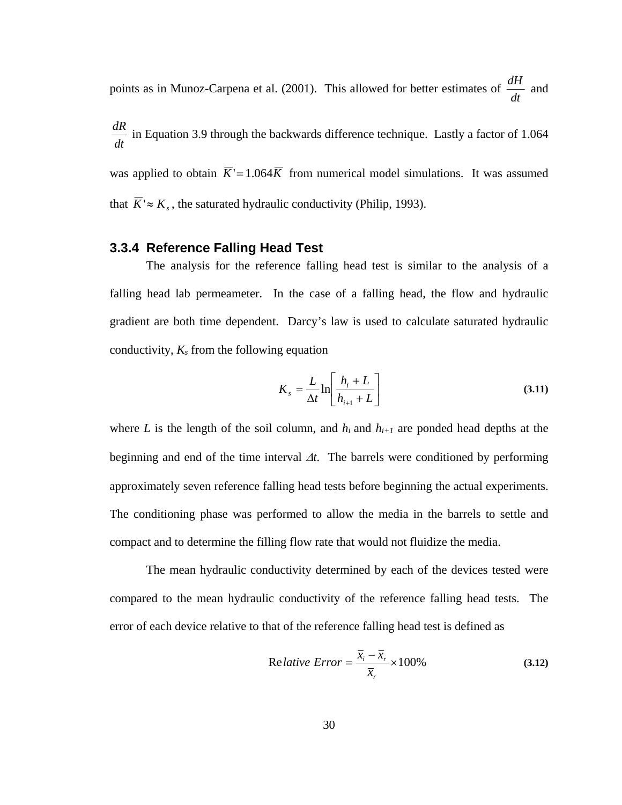points as in Munoz-Carpena et al. (2001). This allowed for better estimates of *dt*  $\frac{dH}{dx}$  and

*dt*  $\frac{dR}{dt}$  in Equation 3.9 through the backwards difference technique. Lastly a factor of 1.064 was applied to obtain  $\overline{K}$ '=1.064 $\overline{K}$  from numerical model simulations. It was assumed that  $\overline{K} \approx K_c$ , the saturated hydraulic conductivity (Philip, 1993).

#### **3.3.4 Reference Falling Head Test**

The analysis for the reference falling head test is similar to the analysis of a falling head lab permeameter. In the case of a falling head, the flow and hydraulic gradient are both time dependent. Darcy's law is used to calculate saturated hydraulic conductivity,  $K_s$  from the following equation

$$
K_s = \frac{L}{\Delta t} \ln \left[ \frac{h_i + L}{h_{i+1} + L} \right]
$$
 (3.11)

where *L* is the length of the soil column, and  $h_i$  and  $h_{i+1}$  are ponded head depths at the beginning and end of the time interval ∆*t*. The barrels were conditioned by performing approximately seven reference falling head tests before beginning the actual experiments. The conditioning phase was performed to allow the media in the barrels to settle and compact and to determine the filling flow rate that would not fluidize the media.

 The mean hydraulic conductivity determined by each of the devices tested were compared to the mean hydraulic conductivity of the reference falling head tests. The error of each device relative to that of the reference falling head test is defined as

$$
Relative Error = \frac{\overline{x}_i - \overline{x}_r}{\overline{x}_r} \times 100\%
$$
\n(3.12)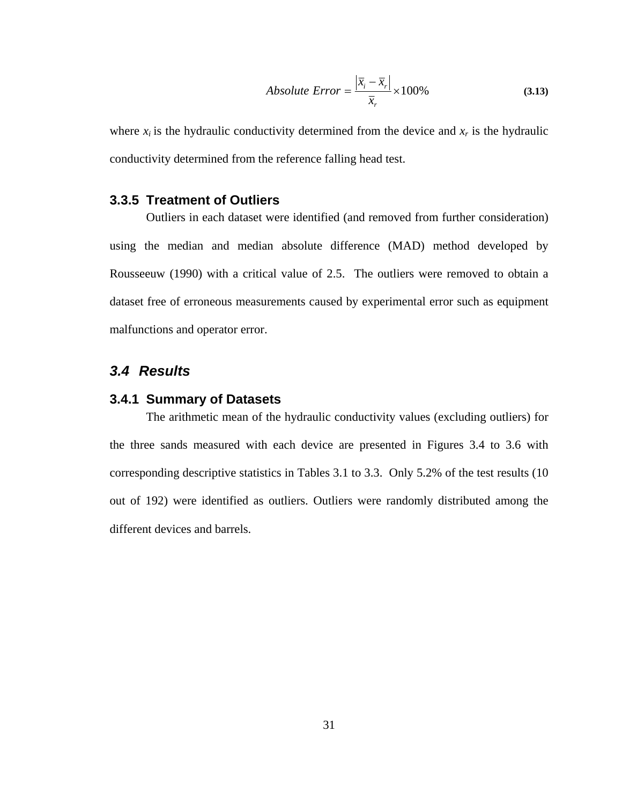Absolute Error = 
$$
\frac{\left|\overline{x}_{i} - \overline{x}_{r}\right|}{\overline{x}_{r}} \times 100\%
$$
 (3.13)

where  $x_i$  is the hydraulic conductivity determined from the device and  $x_r$  is the hydraulic conductivity determined from the reference falling head test.

#### **3.3.5 Treatment of Outliers**

Outliers in each dataset were identified (and removed from further consideration) using the median and median absolute difference (MAD) method developed by Rousseeuw (1990) with a critical value of 2.5. The outliers were removed to obtain a dataset free of erroneous measurements caused by experimental error such as equipment malfunctions and operator error.

## *3.4 Results*

#### **3.4.1 Summary of Datasets**

The arithmetic mean of the hydraulic conductivity values (excluding outliers) for the three sands measured with each device are presented in Figures 3.4 to 3.6 with corresponding descriptive statistics in Tables 3.1 to 3.3. Only 5.2% of the test results (10 out of 192) were identified as outliers. Outliers were randomly distributed among the different devices and barrels.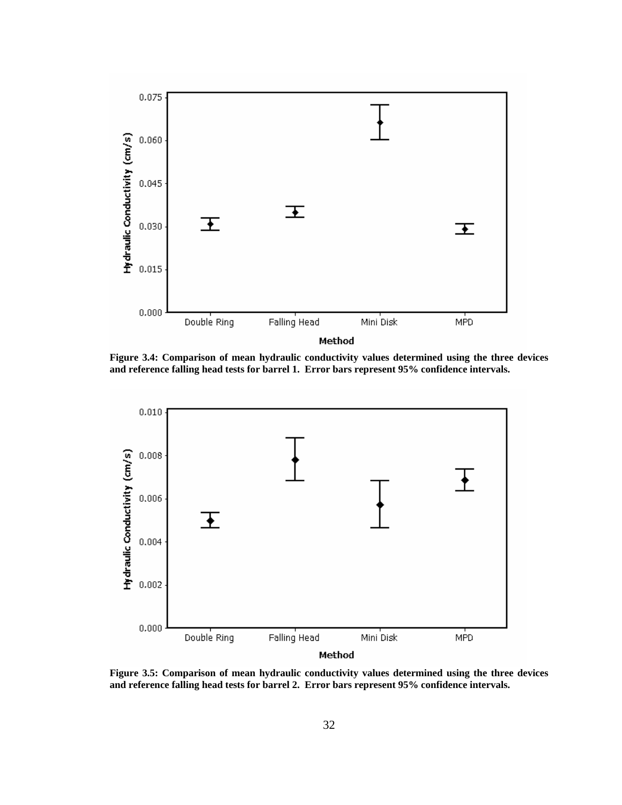

**Figure 3.4: Comparison of mean hydraulic conductivity values determined using the three devices and reference falling head tests for barrel 1. Error bars represent 95% confidence intervals.** 



**Figure 3.5: Comparison of mean hydraulic conductivity values determined using the three devices and reference falling head tests for barrel 2. Error bars represent 95% confidence intervals.**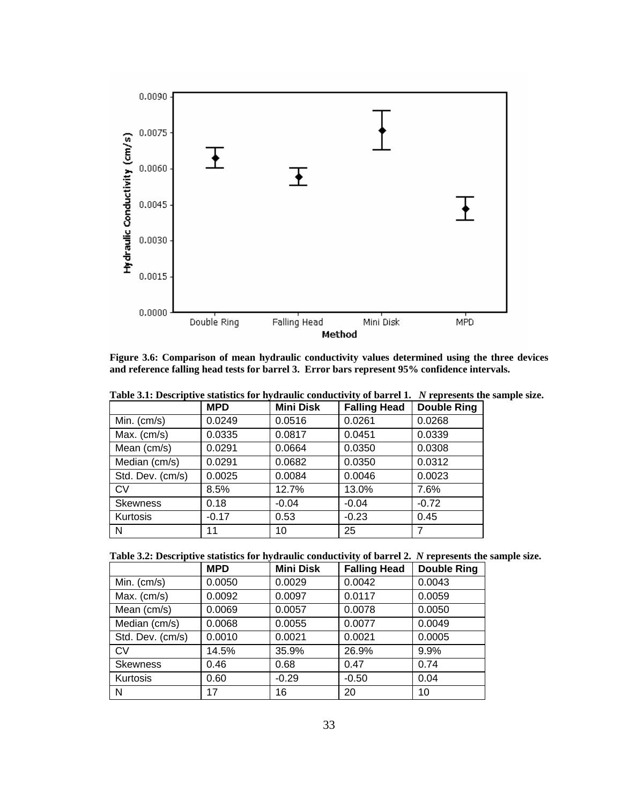

**Figure 3.6: Comparison of mean hydraulic conductivity values determined using the three devices and reference falling head tests for barrel 3. Error bars represent 95% confidence intervals.** 

|                  | <b>MPD</b> | <b>Mini Disk</b> | <b>Falling Head</b> | <b>Double Ring</b> |
|------------------|------------|------------------|---------------------|--------------------|
| Min. $(cm/s)$    | 0.0249     | 0.0516           | 0.0261              | 0.0268             |
| Max. $(cm/s)$    | 0.0335     | 0.0817           | 0.0451              | 0.0339             |
| Mean (cm/s)      | 0.0291     | 0.0664           | 0.0350              | 0.0308             |
| Median (cm/s)    | 0.0291     | 0.0682           | 0.0350              | 0.0312             |
| Std. Dev. (cm/s) | 0.0025     | 0.0084           | 0.0046              | 0.0023             |
| <b>CV</b>        | 8.5%       | 12.7%            | 13.0%               | 7.6%               |
| <b>Skewness</b>  | 0.18       | $-0.04$          | $-0.04$             | $-0.72$            |
| Kurtosis         | $-0.17$    | 0.53             | $-0.23$             | 0.45               |
| N                | 11         | 10               | 25                  | 7                  |

**Table 3.1: Descriptive statistics for hydraulic conductivity of barrel 1.** *N* **represents the sample size.** 

**Table 3.2: Descriptive statistics for hydraulic conductivity of barrel 2.** *N* **represents the sample size.** 

|                  | <b>MPD</b> | <b>Mini Disk</b> | <b>Falling Head</b> | <b>Double Ring</b> |
|------------------|------------|------------------|---------------------|--------------------|
| Min. $(cm/s)$    | 0.0050     | 0.0029           | 0.0042              | 0.0043             |
| Max. $(cm/s)$    | 0.0092     | 0.0097           | 0.0117              | 0.0059             |
| Mean (cm/s)      | 0.0069     | 0.0057           | 0.0078              | 0.0050             |
| Median (cm/s)    | 0.0068     | 0.0055           | 0.0077              | 0.0049             |
| Std. Dev. (cm/s) | 0.0010     | 0.0021           | 0.0021              | 0.0005             |
| <b>CV</b>        | 14.5%      | 35.9%            | 26.9%               | 9.9%               |
| <b>Skewness</b>  | 0.46       | 0.68             | 0.47                | 0.74               |
| Kurtosis         | 0.60       | $-0.29$          | $-0.50$             | 0.04               |
| N                | 17         | 16               | 20                  | 10                 |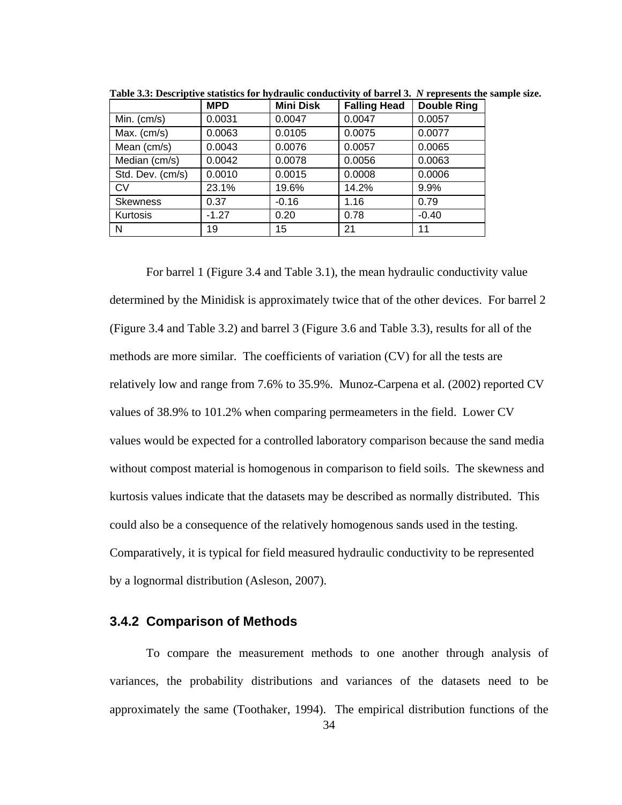|                  | <b>MPD</b> | <b>Mini Disk</b> | <b>Falling Head</b> | <b>Double Ring</b> |
|------------------|------------|------------------|---------------------|--------------------|
| Min. $(cm/s)$    | 0.0031     | 0.0047           | 0.0047              | 0.0057             |
| Max. $(cm/s)$    | 0.0063     | 0.0105           | 0.0075              | 0.0077             |
| Mean (cm/s)      | 0.0043     | 0.0076           | 0.0057              | 0.0065             |
| Median (cm/s)    | 0.0042     | 0.0078           | 0.0056              | 0.0063             |
| Std. Dev. (cm/s) | 0.0010     | 0.0015           | 0.0008              | 0.0006             |
| <b>CV</b>        | 23.1%      | 19.6%            | 14.2%               | 9.9%               |
| <b>Skewness</b>  | 0.37       | $-0.16$          | 1.16                | 0.79               |
| Kurtosis         | $-1.27$    | 0.20             | 0.78                | $-0.40$            |
| N                | 19         | 15               | 21                  | 11                 |

**Table 3.3: Descriptive statistics for hydraulic conductivity of barrel 3.** *N* **represents the sample size.** 

For barrel 1 (Figure 3.4 and Table 3.1), the mean hydraulic conductivity value determined by the Minidisk is approximately twice that of the other devices. For barrel 2 (Figure 3.4 and Table 3.2) and barrel 3 (Figure 3.6 and Table 3.3), results for all of the methods are more similar. The coefficients of variation (CV) for all the tests are relatively low and range from 7.6% to 35.9%. Munoz-Carpena et al. (2002) reported CV values of 38.9% to 101.2% when comparing permeameters in the field. Lower CV values would be expected for a controlled laboratory comparison because the sand media without compost material is homogenous in comparison to field soils. The skewness and kurtosis values indicate that the datasets may be described as normally distributed. This could also be a consequence of the relatively homogenous sands used in the testing. Comparatively, it is typical for field measured hydraulic conductivity to be represented by a lognormal distribution (Asleson, 2007).

#### **3.4.2 Comparison of Methods**

 34 To compare the measurement methods to one another through analysis of variances, the probability distributions and variances of the datasets need to be approximately the same (Toothaker, 1994). The empirical distribution functions of the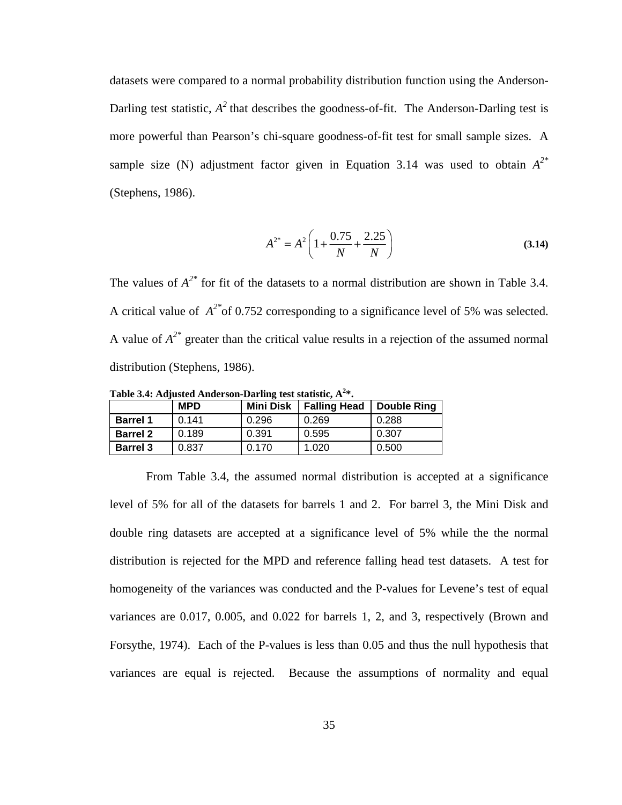datasets were compared to a normal probability distribution function using the Anderson-Darling test statistic,  $A^2$  that describes the goodness-of-fit. The Anderson-Darling test is more powerful than Pearson's chi-square goodness-of-fit test for small sample sizes. A sample size (N) adjustment factor given in Equation 3.14 was used to obtain  $A^{2*}$ (Stephens, 1986).

$$
A^{2^*} = A^2 \left( 1 + \frac{0.75}{N} + \frac{2.25}{N} \right)
$$
 (3.14)

The values of  $A^{2*}$  for fit of the datasets to a normal distribution are shown in Table 3.4. A critical value of *A2\**of 0.752 corresponding to a significance level of 5% was selected. A value of *A2\** greater than the critical value results in a rejection of the assumed normal distribution (Stephens, 1986).

**MPD** Mini Disk Falling Head Double Ring **Barrel 1** 0.141 0.296 0.269 0.288 **Barrel 2** 0.189 0.391 0.595 0.307 **Barrel 3** 0.837 0.170 1.020 0.500

**Table 3.4: Adjusted Anderson-Darling test statistic, A<sup>2</sup> \*.** 

From Table 3.4, the assumed normal distribution is accepted at a significance level of 5% for all of the datasets for barrels 1 and 2. For barrel 3, the Mini Disk and double ring datasets are accepted at a significance level of 5% while the the normal distribution is rejected for the MPD and reference falling head test datasets. A test for homogeneity of the variances was conducted and the P-values for Levene's test of equal variances are 0.017, 0.005, and 0.022 for barrels 1, 2, and 3, respectively (Brown and Forsythe, 1974). Each of the P-values is less than 0.05 and thus the null hypothesis that variances are equal is rejected. Because the assumptions of normality and equal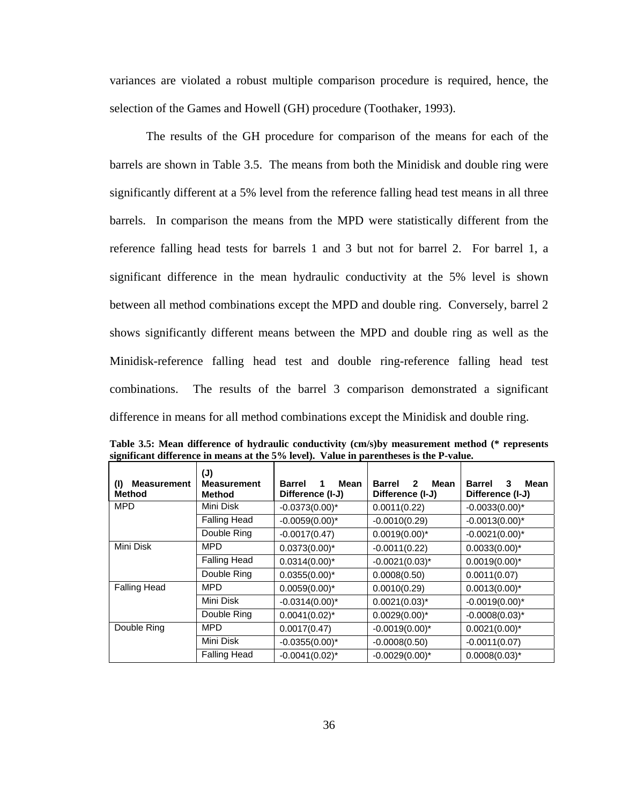variances are violated a robust multiple comparison procedure is required, hence, the selection of the Games and Howell (GH) procedure (Toothaker, 1993).

The results of the GH procedure for comparison of the means for each of the barrels are shown in Table 3.5. The means from both the Minidisk and double ring were significantly different at a 5% level from the reference falling head test means in all three barrels. In comparison the means from the MPD were statistically different from the reference falling head tests for barrels 1 and 3 but not for barrel 2. For barrel 1, a significant difference in the mean hydraulic conductivity at the 5% level is shown between all method combinations except the MPD and double ring. Conversely, barrel 2 shows significantly different means between the MPD and double ring as well as the Minidisk-reference falling head test and double ring-reference falling head test combinations. The results of the barrel 3 comparison demonstrated a significant difference in means for all method combinations except the Minidisk and double ring.

| <b>Measurement</b><br>(1)<br>Method | (J)<br><b>Measurement</b><br>Method | <b>Barrel</b><br>Mean<br>1<br>Difference (I-J) | <b>Barrel</b><br>$\mathbf{2}$<br>Mean<br>Difference (I-J) | <b>Barrel</b><br>3<br>Mean<br>Difference (I-J) |
|-------------------------------------|-------------------------------------|------------------------------------------------|-----------------------------------------------------------|------------------------------------------------|
| <b>MPD</b>                          | Mini Disk                           | $-0.0373(0.00)^*$                              | 0.0011(0.22)                                              | $-0.0033(0.00)^*$                              |
|                                     | <b>Falling Head</b>                 | $-0.0059(0.00)^*$                              | $-0.0010(0.29)$                                           | $-0.0013(0.00)^*$                              |
|                                     | Double Ring                         | $-0.0017(0.47)$                                | $0.0019(0.00)^*$                                          | $-0.0021(0.00)^*$                              |
| Mini Disk                           | <b>MPD</b>                          | $0.0373(0.00)^*$                               | $-0.0011(0.22)$                                           | $0.0033(0.00)^*$                               |
|                                     | <b>Falling Head</b>                 | $0.0314(0.00)^*$                               | $-0.0021(0.03)^{*}$                                       | $0.0019(0.00)^*$                               |
|                                     | Double Ring                         | $0.0355(0.00)^*$                               | 0.0008(0.50)                                              | 0.0011(0.07)                                   |
| <b>Falling Head</b>                 | MPD                                 | $0.0059(0.00)^*$                               | 0.0010(0.29)                                              | $0.0013(0.00)^*$                               |
|                                     | Mini Disk                           | $-0.0314(0.00)^*$                              | $0.0021(0.03)^*$                                          | $-0.0019(0.00)^*$                              |
|                                     | Double Ring                         | $0.0041(0.02)^{*}$                             | $0.0029(0.00)^*$                                          | $-0.0008(0.03)^*$                              |
| Double Ring                         | <b>MPD</b>                          | 0.0017(0.47)                                   | $-0.0019(0.00)^*$                                         | $0.0021(0.00)^*$                               |
|                                     | Mini Disk                           | $-0.0355(0.00)^{*}$                            | $-0.0008(0.50)$                                           | $-0.0011(0.07)$                                |
|                                     | <b>Falling Head</b>                 | $-0.0041(0.02)^{*}$                            | $-0.0029(0.00)^*$                                         | $0.0008(0.03)^{*}$                             |

**Table 3.5: Mean difference of hydraulic conductivity (cm/s)by measurement method (\* represents significant difference in means at the 5% level). Value in parentheses is the P-value.**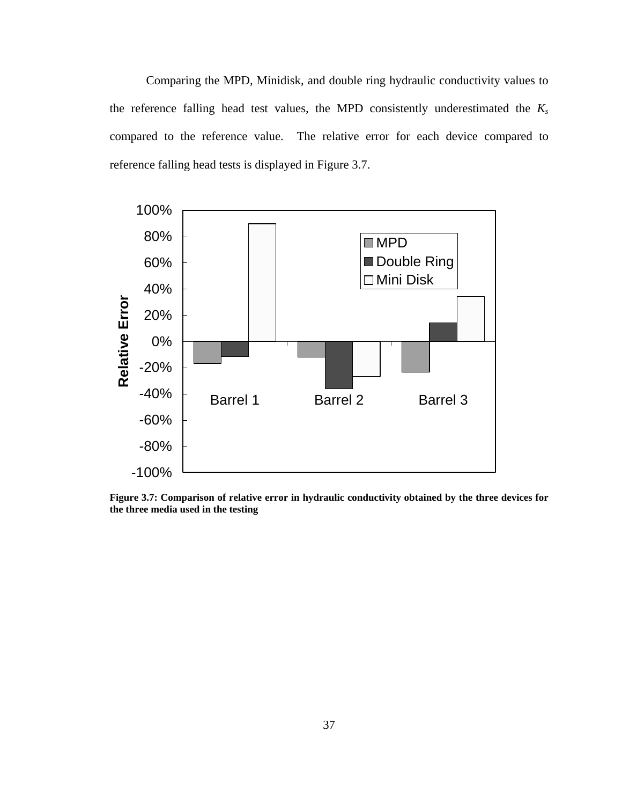Comparing the MPD, Minidisk, and double ring hydraulic conductivity values to the reference falling head test values, the MPD consistently underestimated the *Ks*  compared to the reference value. The relative error for each device compared to reference falling head tests is displayed in Figure 3.7.



**Figure 3.7: Comparison of relative error in hydraulic conductivity obtained by the three devices for the three media used in the testing**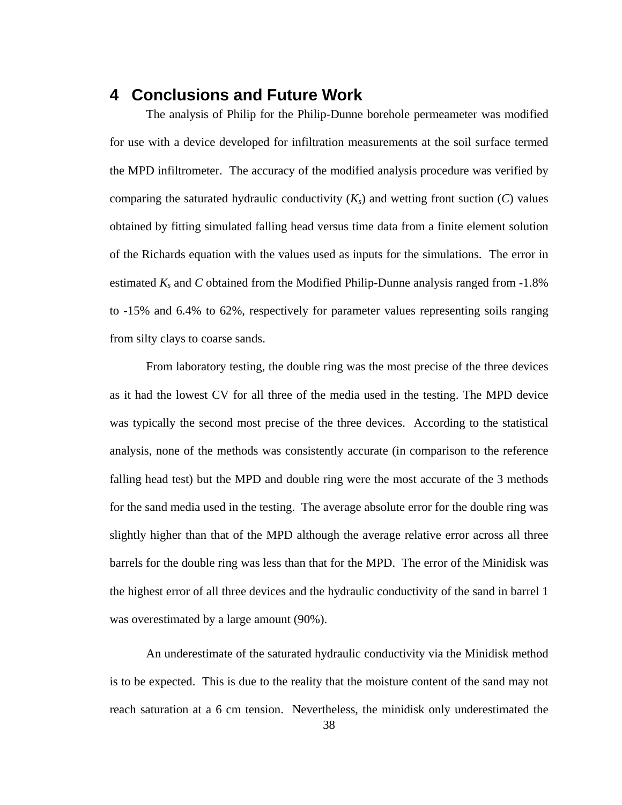## **4 Conclusions and Future Work**

The analysis of Philip for the Philip-Dunne borehole permeameter was modified for use with a device developed for infiltration measurements at the soil surface termed the MPD infiltrometer. The accuracy of the modified analysis procedure was verified by comparing the saturated hydraulic conductivity  $(K_s)$  and wetting front suction  $(C)$  values obtained by fitting simulated falling head versus time data from a finite element solution of the Richards equation with the values used as inputs for the simulations. The error in estimated *Ks* and *C* obtained from the Modified Philip-Dunne analysis ranged from -1.8% to -15% and 6.4% to 62%, respectively for parameter values representing soils ranging from silty clays to coarse sands.

From laboratory testing, the double ring was the most precise of the three devices as it had the lowest CV for all three of the media used in the testing. The MPD device was typically the second most precise of the three devices. According to the statistical analysis, none of the methods was consistently accurate (in comparison to the reference falling head test) but the MPD and double ring were the most accurate of the 3 methods for the sand media used in the testing. The average absolute error for the double ring was slightly higher than that of the MPD although the average relative error across all three barrels for the double ring was less than that for the MPD. The error of the Minidisk was the highest error of all three devices and the hydraulic conductivity of the sand in barrel 1 was overestimated by a large amount (90%).

An underestimate of the saturated hydraulic conductivity via the Minidisk method is to be expected. This is due to the reality that the moisture content of the sand may not reach saturation at a 6 cm tension. Nevertheless, the minidisk only underestimated the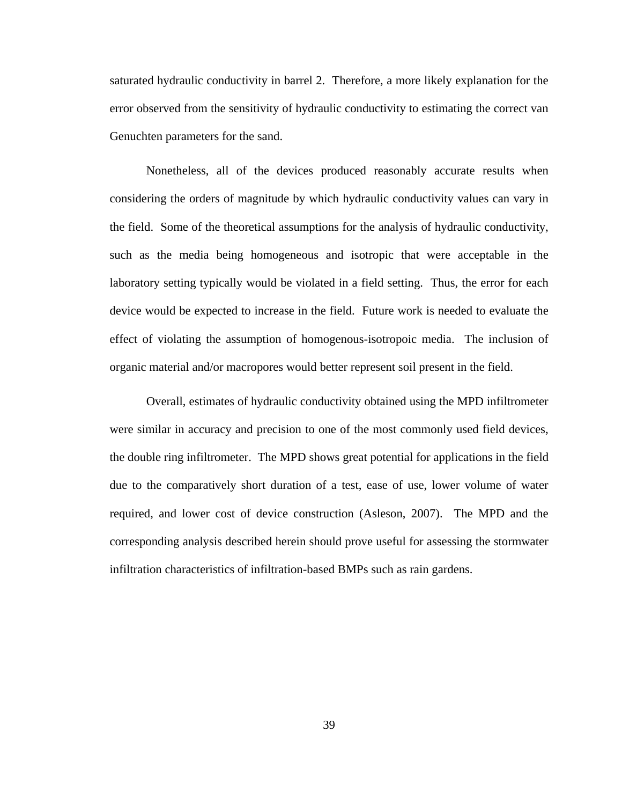saturated hydraulic conductivity in barrel 2. Therefore, a more likely explanation for the error observed from the sensitivity of hydraulic conductivity to estimating the correct van Genuchten parameters for the sand.

Nonetheless, all of the devices produced reasonably accurate results when considering the orders of magnitude by which hydraulic conductivity values can vary in the field. Some of the theoretical assumptions for the analysis of hydraulic conductivity, such as the media being homogeneous and isotropic that were acceptable in the laboratory setting typically would be violated in a field setting. Thus, the error for each device would be expected to increase in the field. Future work is needed to evaluate the effect of violating the assumption of homogenous-isotropoic media. The inclusion of organic material and/or macropores would better represent soil present in the field.

Overall, estimates of hydraulic conductivity obtained using the MPD infiltrometer were similar in accuracy and precision to one of the most commonly used field devices, the double ring infiltrometer. The MPD shows great potential for applications in the field due to the comparatively short duration of a test, ease of use, lower volume of water required, and lower cost of device construction (Asleson, 2007). The MPD and the corresponding analysis described herein should prove useful for assessing the stormwater infiltration characteristics of infiltration-based BMPs such as rain gardens.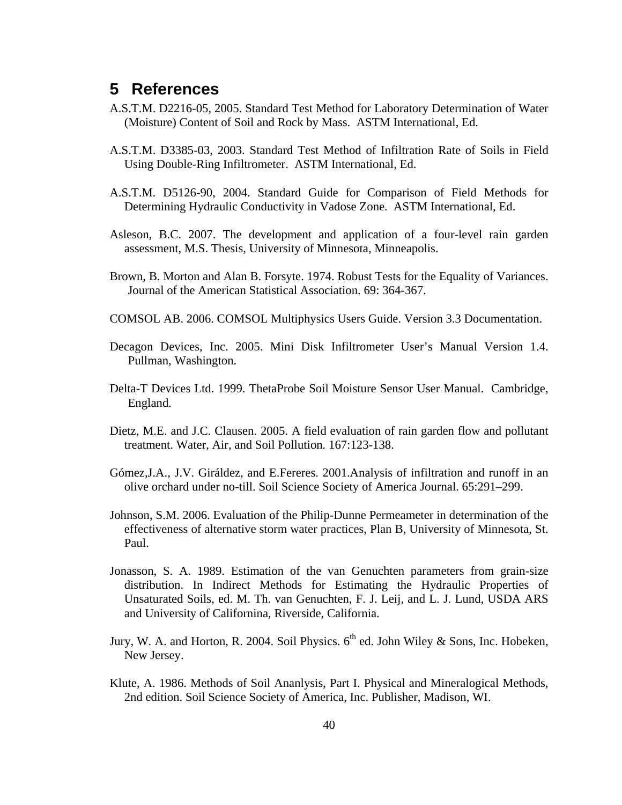## **5 References**

- A.S.T.M. D2216-05, 2005. Standard Test Method for Laboratory Determination of Water (Moisture) Content of Soil and Rock by Mass. ASTM International, Ed.
- A.S.T.M. D3385-03, 2003. Standard Test Method of Infiltration Rate of Soils in Field Using Double-Ring Infiltrometer. ASTM International, Ed.
- A.S.T.M. D5126-90, 2004. Standard Guide for Comparison of Field Methods for Determining Hydraulic Conductivity in Vadose Zone. ASTM International, Ed.
- Asleson, B.C. 2007. The development and application of a four-level rain garden assessment, M.S. Thesis, University of Minnesota, Minneapolis.
- Brown, B. Morton and Alan B. Forsyte. 1974. Robust Tests for the Equality of Variances. Journal of the American Statistical Association. 69: 364-367.
- COMSOL AB. 2006. COMSOL Multiphysics Users Guide. Version 3.3 Documentation.
- Decagon Devices, Inc. 2005. Mini Disk Infiltrometer User's Manual Version 1.4. Pullman, Washington.
- Delta-T Devices Ltd. 1999. ThetaProbe Soil Moisture Sensor User Manual. Cambridge, England.
- Dietz, M.E. and J.C. Clausen. 2005. A field evaluation of rain garden flow and pollutant treatment. Water, Air, and Soil Pollution*.* 167:123-138.
- Gómez,J.A., J.V. Giráldez, and E.Fereres. 2001.Analysis of infiltration and runoff in an olive orchard under no-till. Soil Science Society of America Journal. 65:291–299.
- Johnson, S.M. 2006. Evaluation of the Philip-Dunne Permeameter in determination of the effectiveness of alternative storm water practices, Plan B, University of Minnesota, St. Paul.
- Jonasson, S. A. 1989. Estimation of the van Genuchten parameters from grain-size distribution. In Indirect Methods for Estimating the Hydraulic Properties of Unsaturated Soils, ed. M. Th. van Genuchten, F. J. Leij, and L. J. Lund, USDA ARS and University of Californina, Riverside, California.
- Jury, W. A. and Horton, R. 2004. Soil Physics.  $6<sup>th</sup>$  ed. John Wiley & Sons, Inc. Hobeken, New Jersey.
- Klute, A. 1986. Methods of Soil Ananlysis, Part I. Physical and Mineralogical Methods, 2nd edition. Soil Science Society of America, Inc. Publisher, Madison, WI.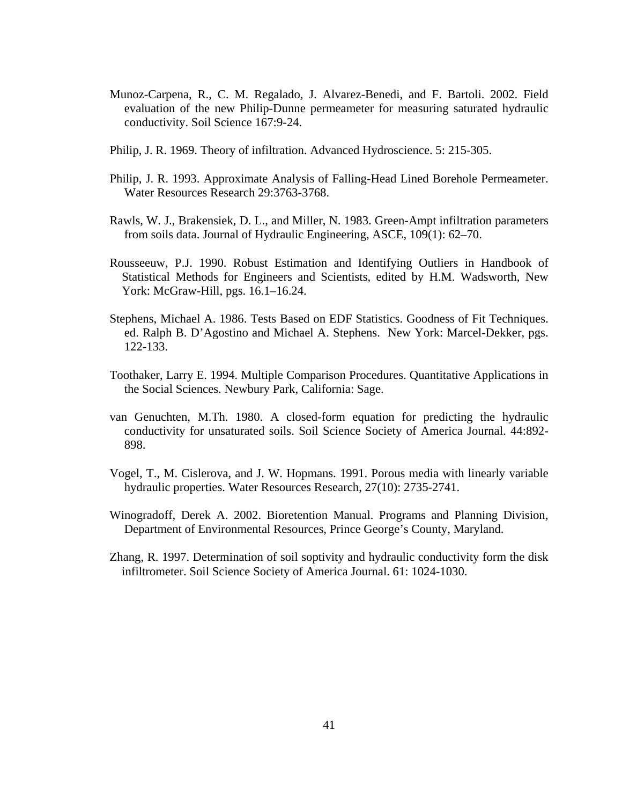- Munoz-Carpena, R., C. M. Regalado, J. Alvarez-Benedi, and F. Bartoli. 2002. Field evaluation of the new Philip-Dunne permeameter for measuring saturated hydraulic conductivity. Soil Science 167:9-24.
- Philip, J. R. 1969. Theory of infiltration. Advanced Hydroscience. 5: 215-305.
- Philip, J. R. 1993. Approximate Analysis of Falling-Head Lined Borehole Permeameter. Water Resources Research 29:3763-3768.
- Rawls, W. J., Brakensiek, D. L., and Miller, N. 1983. Green-Ampt infiltration parameters from soils data. Journal of Hydraulic Engineering, ASCE, 109(1): 62–70.
- Rousseeuw, P.J. 1990. Robust Estimation and Identifying Outliers in Handbook of Statistical Methods for Engineers and Scientists, edited by H.M. Wadsworth, New York: McGraw-Hill, pgs. 16.1–16.24.
- Stephens, Michael A. 1986. Tests Based on EDF Statistics. Goodness of Fit Techniques. ed. Ralph B. D'Agostino and Michael A. Stephens. New York: Marcel-Dekker, pgs. 122-133.
- Toothaker, Larry E. 1994. Multiple Comparison Procedures. Quantitative Applications in the Social Sciences. Newbury Park, California: Sage.
- van Genuchten, M.Th. 1980. A closed-form equation for predicting the hydraulic conductivity for unsaturated soils. Soil Science Society of America Journal. 44:892- 898.
- Vogel, T., M. Cislerova, and J. W. Hopmans. 1991. Porous media with linearly variable hydraulic properties. Water Resources Research, 27(10): 2735-2741.
- Winogradoff, Derek A. 2002. Bioretention Manual. Programs and Planning Division, Department of Environmental Resources, Prince George's County, Maryland.
- Zhang, R. 1997. Determination of soil soptivity and hydraulic conductivity form the disk infiltrometer. Soil Science Society of America Journal. 61: 1024-1030.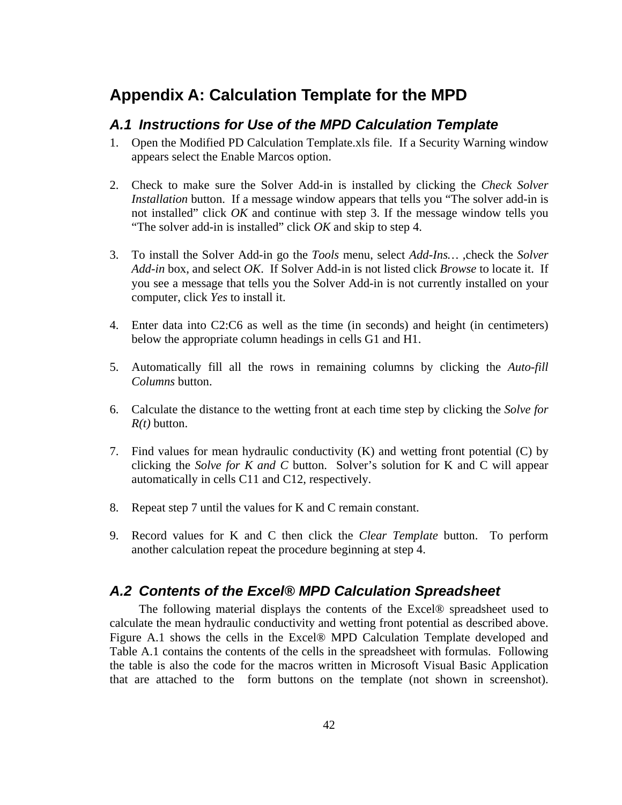## **Appendix A: Calculation Template for the MPD**

### *A.1 Instructions for Use of the MPD Calculation Template*

- 1. Open the Modified PD Calculation Template.xls file. If a Security Warning window appears select the Enable Marcos option.
- 2. Check to make sure the Solver Add-in is installed by clicking the *Check Solver Installation* button. If a message window appears that tells you "The solver add-in is not installed" click *OK* and continue with step 3. If the message window tells you "The solver add-in is installed" click *OK* and skip to step 4.
- 3. To install the Solver Add-in go the *Tools* menu, select *Add-Ins…* ,check the *Solver Add-in* box, and select *OK*. If Solver Add-in is not listed click *Browse* to locate it. If you see a message that tells you the Solver Add-in is not currently installed on your computer, click *Yes* to install it.
- 4. Enter data into C2:C6 as well as the time (in seconds) and height (in centimeters) below the appropriate column headings in cells G1 and H1.
- 5. Automatically fill all the rows in remaining columns by clicking the *Auto-fill Columns* button.
- 6. Calculate the distance to the wetting front at each time step by clicking the *Solve for R(t)* button.
- 7. Find values for mean hydraulic conductivity (K) and wetting front potential (C) by clicking the *Solve for K and C* button. Solver's solution for K and C will appear automatically in cells C11 and C12, respectively.
- 8. Repeat step 7 until the values for K and C remain constant.
- 9. Record values for K and C then click the *Clear Template* button. To perform another calculation repeat the procedure beginning at step 4.

## *A.2 Contents of the Excel® MPD Calculation Spreadsheet*

The following material displays the contents of the Excel® spreadsheet used to calculate the mean hydraulic conductivity and wetting front potential as described above. Figure A.1 shows the cells in the Excel® MPD Calculation Template developed and Table A.1 contains the contents of the cells in the spreadsheet with formulas. Following the table is also the code for the macros written in Microsoft Visual Basic Application that are attached to the form buttons on the template (not shown in screenshot).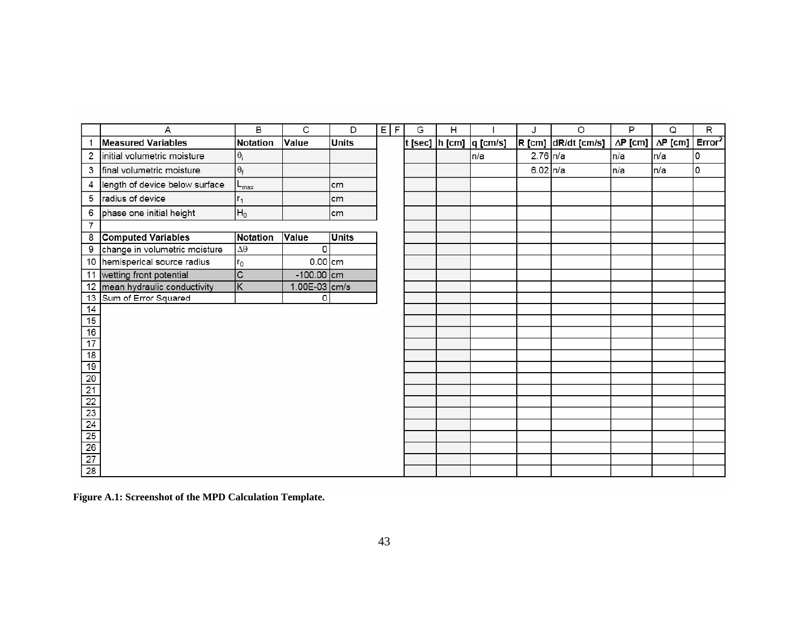|                                                                                      | A                               | B               | C              | D            | E F | G | Н |     |              | O                   | P               | Q               | $\overline{R}$     |
|--------------------------------------------------------------------------------------|---------------------------------|-----------------|----------------|--------------|-----|---|---|-----|--------------|---------------------|-----------------|-----------------|--------------------|
|                                                                                      | <b>Measured Variables</b>       | <b>Notation</b> | Value          | <b>Units</b> |     |   |   |     |              | R [cm] dR/dt [cm/s] | $\Delta P$ [cm] | $\Delta P$ [cm] | Error <sup>2</sup> |
| 2                                                                                    | initial volumetric moisture     | $\theta_i$      |                |              |     |   |   | n/a | $2.76 \ln/a$ |                     | n/a             | n/a             | O                  |
| 3                                                                                    | final volumetric moisture       | $\theta_f$      |                |              |     |   |   |     | 6.02 $n/a$   |                     | In/a            | n/a             | O                  |
| 4                                                                                    | length of device below surface  | -max            |                | cm           |     |   |   |     |              |                     |                 |                 |                    |
| 5                                                                                    | radius of device                | $r_1$           |                | cm           |     |   |   |     |              |                     |                 |                 |                    |
| 6                                                                                    | phase one initial height        | $H_0$           |                | cm           |     |   |   |     |              |                     |                 |                 |                    |
| 7                                                                                    |                                 |                 |                |              |     |   |   |     |              |                     |                 |                 |                    |
| 8                                                                                    | <b>Computed Variables</b>       | Notation        | <b>Value</b>   | <b>Units</b> |     |   |   |     |              |                     |                 |                 |                    |
| 9                                                                                    | change in volumetric moisture   | $\Delta\theta$  | $\Omega$       |              |     |   |   |     |              |                     |                 |                 |                    |
|                                                                                      | 10   hemisperical source radius | $r_0$           | $0.00$ cm      |              |     |   |   |     |              |                     |                 |                 |                    |
| 11                                                                                   | wetting front potential         | $\overline{C}$  | $-100.00$ cm   |              |     |   |   |     |              |                     |                 |                 |                    |
| 12                                                                                   | mean hydraulic conductivity     | ΙK              | 1.00E-03 cm/s  |              |     |   |   |     |              |                     |                 |                 |                    |
| 13                                                                                   | Sum of Error Squared            |                 | $\overline{0}$ |              |     |   |   |     |              |                     |                 |                 |                    |
| $\frac{14}{15}$                                                                      |                                 |                 |                |              |     |   |   |     |              |                     |                 |                 |                    |
|                                                                                      |                                 |                 |                |              |     |   |   |     |              |                     |                 |                 |                    |
| 16                                                                                   |                                 |                 |                |              |     |   |   |     |              |                     |                 |                 |                    |
| $\overline{17}$                                                                      |                                 |                 |                |              |     |   |   |     |              |                     |                 |                 |                    |
| $\overline{18}$                                                                      |                                 |                 |                |              |     |   |   |     |              |                     |                 |                 |                    |
| 19                                                                                   |                                 |                 |                |              |     |   |   |     |              |                     |                 |                 |                    |
|                                                                                      |                                 |                 |                |              |     |   |   |     |              |                     |                 |                 |                    |
|                                                                                      |                                 |                 |                |              |     |   |   |     |              |                     |                 |                 |                    |
|                                                                                      |                                 |                 |                |              |     |   |   |     |              |                     |                 |                 |                    |
|                                                                                      |                                 |                 |                |              |     |   |   |     |              |                     |                 |                 |                    |
|                                                                                      |                                 |                 |                |              |     |   |   |     |              |                     |                 |                 |                    |
|                                                                                      |                                 |                 |                |              |     |   |   |     |              |                     |                 |                 |                    |
|                                                                                      |                                 |                 |                |              |     |   |   |     |              |                     |                 |                 |                    |
| $\frac{20}{21} \frac{22}{23} \frac{23}{24} \frac{4}{25} \frac{26}{27} \frac{27}{28}$ |                                 |                 |                |              |     |   |   |     |              |                     |                 |                 |                    |

**Figure A.1: Screenshot of the MPD Calculation Template.**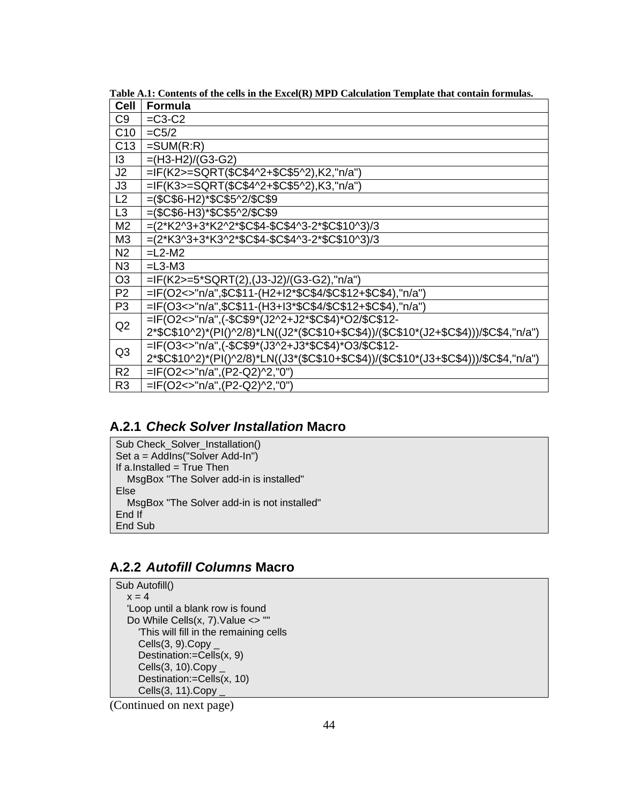| <b>Cell</b>     | Formula                                                                               |
|-----------------|---------------------------------------------------------------------------------------|
| C <sub>9</sub>  | $=C3-C2$                                                                              |
| C10             | $=C5/2$                                                                               |
| C <sub>13</sub> | $=SUM(R:R)$                                                                           |
| $\overline{3}$  | $=(H3-H2)/(G3-G2)$                                                                    |
| J <sub>2</sub>  | $=$ IF(K2>=SQRT(\$C\$4^2+\$C\$5^2),K2,"n/a")                                          |
| J3              | =IF(K3>=SQRT(\$C\$4^2+\$C\$5^2),K3,"n/a")                                             |
| L <sub>2</sub>  | $=($C$6-H2)*$C$5^2/$C$9$                                                              |
| L3              | $=($C$6-H3)*$C$5^2/$C$9$                                                              |
| M <sub>2</sub>  | $=(2*K2^{3}+3*K2^{2}*SC$4-$C$4^{3}-2*$C$10^{3})/3$                                    |
| M <sub>3</sub>  | =(2*K3^3+3*K3^2*\$C\$4-\$C\$4^3-2*\$C\$10^3)/3                                        |
| N <sub>2</sub>  | $=L2-M2$                                                                              |
| N <sub>3</sub>  | $=L3-M3$                                                                              |
| O <sub>3</sub>  | =IF(K2>=5*SQRT(2),(J3-J2)/(G3-G2),"n/a")                                              |
| P <sub>2</sub>  | =IF(O2<>"n/a",\$C\$11-(H2+I2*\$C\$4/\$C\$12+\$C\$4),"n/a")                            |
| P <sub>3</sub>  | =IF(O3<>"n/a",\$C\$11-(H3+I3*\$C\$4/\$C\$12+\$C\$4),"n/a")                            |
| Q2              | =IF(O2<>"n/a",(-\$C\$9*(J2^2+J2*\$C\$4)*O2/\$C\$12-                                   |
|                 | 2*\$C\$10^2)*(PI()^2/8)*LN((J2*(\$C\$10+\$C\$4))/(\$C\$10*(J2+\$C\$4)))/\$C\$4,"n/a") |
| Q <sub>3</sub>  | =IF(O3<>"n/a",(-\$C\$9*(J3^2+J3*\$C\$4)*O3/\$C\$12-                                   |
|                 | 2*\$C\$10^2)*(PI()^2/8)*LN((J3*(\$C\$10+\$C\$4))/(\$C\$10*(J3+\$C\$4)))/\$C\$4,"n/a") |
| R <sub>2</sub>  | =IF(O2<>"n/a",(P2-Q2)^2,"0")                                                          |
| R <sub>3</sub>  | =IF(O2<>"n/a",(P2-Q2)^2,"0")                                                          |

**Table A.1: Contents of the cells in the Excel(R) MPD Calculation Template that contain formulas.** 

## **A.2.1** *Check Solver Installation* **Macro**

Sub Check\_Solver\_Installation() Set a = AddIns("Solver Add-In") If a.Installed = True Then MsgBox "The Solver add-in is installed" Else MsgBox "The Solver add-in is not installed" End If End Sub

## **A.2.2** *Autofill Columns* **Macro**

Sub Autofill()  $x = 4$  'Loop until a blank row is found Do While Cells(x, 7).Value <> "" 'This will fill in the remaining cells  $Cells(3, 9)$ . Copy Destination:=Cells(x, 9) Cells $(3, 10)$ .Copy \_ Destination:=Cells(x, 10) Cells(3, 11).Copy \_

(Continued on next page)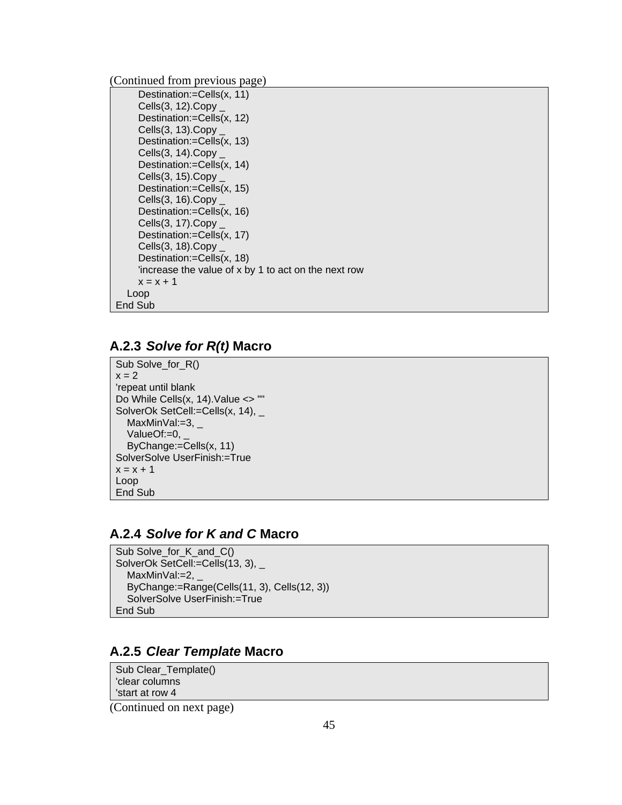(Continued from previous page)

```
 Destination:=Cells(x, 11) 
      Cells(3, 12).Copy _ 
      Destination:=Cells(x, 12) 
      Cells(3, 13).Copy _ 
      Destination:=Cells(x, 13) 
      Cells(3, 14).Copy _ 
      Destination:=Cells(x, 14) 
     Cells(3, 15).Copy Destination:=Cells(x, 15) 
      Cells(3, 16).Copy _ 
      Destination:=Cells(x, 16) 
      Cells(3, 17).Copy _ 
      Destination:=Cells(x, 17) 
     Cells(3, 18).Copy Destination:=Cells(x, 18) 
      'increase the value of x by 1 to act on the next row 
     x = x + 1 Loop 
End Sub
```
#### **A.2.3** *Solve for R(t)* **Macro**

Sub Solve\_for\_R()  $x = 2$ 'repeat until blank Do While Cells(x, 14).Value <> "" SolverOk SetCell:=Cells(x, 14), \_ MaxMinVal:=3,  $-$ ValueOf:=0, ByChange:=Cells(x, 11) SolverSolve UserFinish:=True  $x = x + 1$ Loop End Sub

#### **A.2.4** *Solve for K and C* **Macro**

```
Sub Solve_for_K_and_C() 
SolverOk SetCell:=Cells(13, 3), _
  MaxMinVal:=2, - ByChange:=Range(Cells(11, 3), Cells(12, 3)) 
   SolverSolve UserFinish:=True 
End Sub
```
#### **A.2.5** *Clear Template* **Macro**

Sub Clear\_Template() 'clear columns 'start at row 4

(Continued on next page)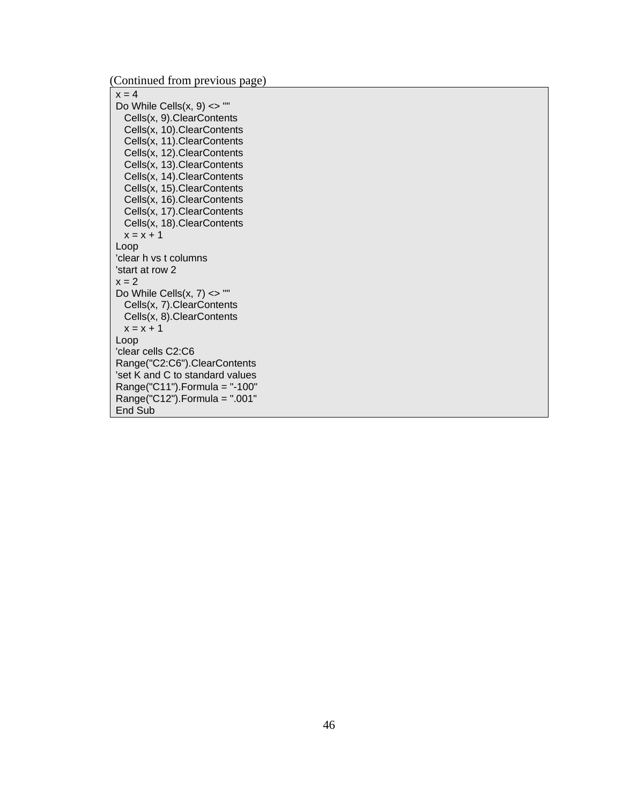(Continued from previous page)

 $x = 4$ Do While Cells $(x, 9) \leq$ " Cells(x, 9).ClearContents Cells(x, 10).ClearContents Cells(x, 11).ClearContents Cells(x, 12).ClearContents Cells(x, 13).ClearContents Cells(x, 14).ClearContents Cells(x, 15).ClearContents Cells(x, 16).ClearContents Cells(x, 17).ClearContents Cells(x, 18).ClearContents  $x = x + 1$ Loop 'clear h vs t columns 'start at row 2  $x = 2$ Do While Cells $(x, 7)$  <> "" Cells(x, 7).ClearContents Cells(x, 8).ClearContents  $x = x + 1$ Loop 'clear cells C2:C6 Range("C2:C6").ClearContents 'set K and C to standard values Range("C11").Formula = "-100" Range("C12").Formula = ".001" End Sub